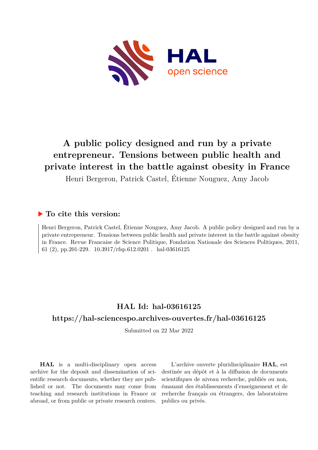

# **A public policy designed and run by a private entrepreneur. Tensions between public health and private interest in the battle against obesity in France**

Henri Bergeron, Patrick Castel, Étienne Nouguez, Amy Jacob

#### **To cite this version:**

Henri Bergeron, Patrick Castel, Étienne Nouguez, Amy Jacob. A public policy designed and run by a private entrepreneur. Tensions between public health and private interest in the battle against obesity in France. Revue Francaise de Science Politique, Fondation Nationale des Sciences Politiques, 2011, 61 (2), pp.201-229.  $10.3917/r$ fsp.612.0201 . hal-03616125

## **HAL Id: hal-03616125**

#### **<https://hal-sciencespo.archives-ouvertes.fr/hal-03616125>**

Submitted on 22 Mar 2022

**HAL** is a multi-disciplinary open access archive for the deposit and dissemination of scientific research documents, whether they are published or not. The documents may come from teaching and research institutions in France or abroad, or from public or private research centers.

L'archive ouverte pluridisciplinaire **HAL**, est destinée au dépôt et à la diffusion de documents scientifiques de niveau recherche, publiés ou non, émanant des établissements d'enseignement et de recherche français ou étrangers, des laboratoires publics ou privés.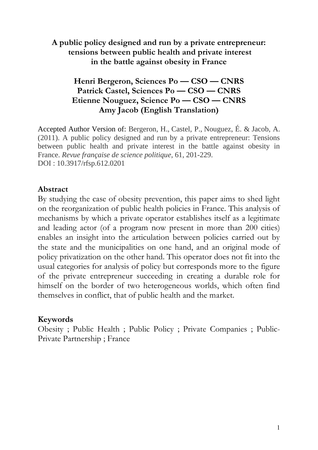**A public policy designed and run by a private entrepreneur: tensions between public health and private interest in the battle against obesity in France**

### **Henri Bergeron, Sciences Po — CSO — CNRS Patrick Castel, Sciences Po — CSO — CNRS Etienne Nouguez, Science Po — CSO — CNRS Amy Jacob (English Translation)**

Accepted Author Version of: Bergeron, H., Castel, P., Nouguez, É. & Jacob, A. (2011). A public policy designed and run by a private entrepreneur: Tensions between public health and private interest in the battle against obesity in France. *Revue française de science politique*, 61, 201-229. DOI : 10.3917/rfsp.612.0201

#### **Abstract**

By studying the case of obesity prevention, this paper aims to shed light on the reorganization of public health policies in France. This analysis of mechanisms by which a private operator establishes itself as a legitimate and leading actor (of a program now present in more than 200 cities) enables an insight into the articulation between policies carried out by the state and the municipalities on one hand, and an original mode of policy privatization on the other hand. This operator does not fit into the usual categories for analysis of policy but corresponds more to the figure of the private entrepreneur succeeding in creating a durable role for himself on the border of two heterogeneous worlds, which often find themselves in conflict, that of public health and the market.

#### **Keywords**

Obesity ; Public Health ; Public Policy ; Private Companies ; Public-Private Partnership ; France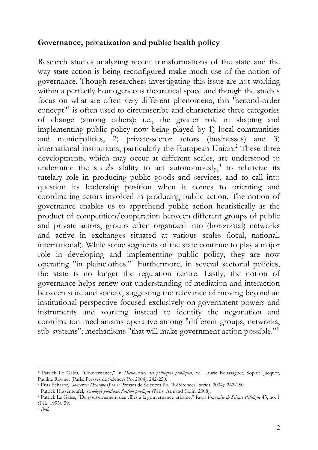#### **Governance, privatization and public health policy**

Research studies analyzing recent transformations of the state and the way state action is being reconfigured make much use of the notion of governance. Though researchers investigating this issue are not working within a perfectly homogeneous theoretical space and though the studies focus on what are often very different phenomena, this "second-order concept<sup>"1</sup> is often used to circumscribe and characterize three categories of change (among others); i.e., the greater role in shaping and implementing public policy now being played by 1) local communities and municipalities, 2) private-sector actors (businesses) and 3) international institutions, particularly the European Union.<sup>2</sup> These three developments, which may occur at different scales, are understood to undermine the state's ability to act autonomously, $3$  to relativize its tutelary role in producing public goods and services, and to call into question its leadership position when it comes to orienting and coordinating actors involved in producing public action. The notion of governance enables us to apprehend public action heuristically as the product of competition/cooperation between different groups of public and private actors, groups often organized into (horizontal) networks and active in exchanges situated at various scales (local, national, international). While some segments of the state continue to play a major role in developing and implementing public policy, they are now operating "in plainclothes."<sup>4</sup> Furthermore, in several sectorial policies, the state is no longer the regulation centre. Lastly, the notion of governance helps renew our understanding of mediation and interaction between state and society, suggesting the relevance of moving beyond an institutional perspective focused exclusively on government powers and instruments and working instead to identify the negotiation and coordination mechanisms operative among "different groups, networks, sub-systems"; mechanisms "that will make government action possible."<sup>5</sup>

<sup>1</sup> Patrick Le Galès, "Gouvernance," in *Dictionnaire des politiques publiques*, ed. Laurie Boussaguet, Sophie Jacquot, Pauline Ravinet (Paris: Presses de Sciences Po, 2004): 242-250.

<sup>2</sup> Fritz Scharpf, *Gouverner l'Europe* (Paris: Presses de Sciences Po, "Références" series, 2004): 242-250.

<sup>3</sup> Patrick Hassenteufel, *Sociologie politique: l'action publique* (Paris: Armand Colin, 2008).

<sup>4</sup> Patrick Le Galès, "Du gouvernement des villes à la gouvernance urbaine," *Revue Française de Science Politique* 45, no. 1 (Feb. 1995): 59.

<sup>5</sup> *Ibid*.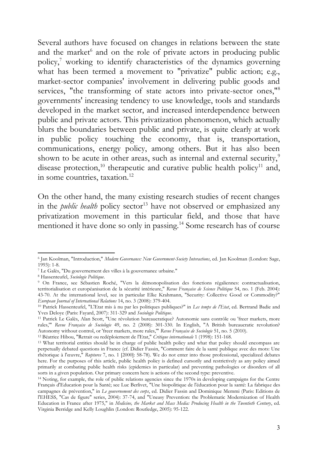Several authors have focused on changes in relations between the state and the market<sup>6</sup> and on the role of private actors in producing public policy,<sup>7</sup> working to identify characteristics of the dynamics governing what has been termed a movement to "privatize" public action; e.g., market-sector companies' involvement in delivering public goods and services, "the transforming of state actors into private-sector ones,"<sup>8</sup> governments' increasing tendency to use knowledge, tools and standards developed in the market sector, and increased interdependence between public and private actors. This privatization phenomenon, which actually blurs the boundaries between public and private, is quite clearly at work in public policy touching the economy, that is, transportation, communications, energy policy, among others. But it has also been shown to be acute in other areas, such as internal and external security,<sup>9</sup> disease protection,<sup>10</sup> therapeutic and curative public health policy<sup>11</sup> and, in some countries, taxation.<sup>12</sup>

On the other hand, the many existing research studies of recent changes in the *public health* policy sector<sup>13</sup> have not observed or emphasized any privatization movement in this particular field, and those that have mentioned it have done so only in passing.<sup>14</sup> Some research has of course

<sup>6</sup> Jan Koolman, "Introduction," *Modern Governance: New Government-Society Interactions*, ed. Jan Koolman (London: Sage, 1993): 1-8.

<sup>7</sup> Le Galès, "Du gouvernement des villes à la gouvernance urbaine."

<sup>8</sup> Hassenteufel, *Sociologie Politique*.

<sup>9</sup> On France, see Sébastien Roché, "Vers la démonopolisation des fonctions régaliennes: contractualisation, territorialisation et européanisation de la sécurité intérieure," *Revue Française de Science Politique* 54, no. 1 (Feb. 2004): 43-70. At the international level, see in particular Elke Krahmann, "Security: Collective Good or Commodity?" *European Journal of International Relations* 14, no. 3 (2008): 379-404.

<sup>10</sup> Patrick Hassenteufel, "L'Etat mis à nu par les politiques publiques?" in *Les temps de l'Etat*, ed. Bertrand Badie and Yves Deloye (Paris: Fayard, 2007): 311-329 and *Sociologie Politique*.

<sup>11</sup> Patrick Le Galès, Alan Scott, "Une révolution bureaucratique? Autonomie sans contrôle ou 'freer markets, more rules,'" *Revue Française de Sociologie* 49, no. 2 (2008): 301-330. In English, "A British bureaucratic revolution? Autonomy without control, or 'freer markets, more rules,'" *Revue Française de Sociologie* 51, no. 5 (2010).

<sup>12</sup> Béatrice Hibou, "Retrait ou redéploiement de l'Etat," *Critique internationale* 1 (1998): 151-168.

<sup>&</sup>lt;sup>13</sup> What territorial entities should be in charge of public health policy and what that policy should encompass are perpetually debated questions in France (cf. Didier Fassin, "Comment faire de la santé publique avec des mots: Une rhétorique à l'œuvre," *Ruptures* 7, no. 1 [2000]: 58-78). We do not enter into those professional, specialized debates here. For the purposes of this article, public health policy is defined cursorily and restrictively as any policy aimed primarily at combating public health risks (epidemics in particular) and preventing pathologies or disorders of all sorts in a given population. Our primary concern here is actions of the second type: preventive.

<sup>14</sup> Noting, for example, the role of public relations agencies since the 1970s in developing campaigns for the Centre Français d'Education pour la Santé; see Luc Berlivet, "Une biopolitique de l'éducation pour la santé: La fabrique des campagnes de prévention," in *Le gouvernement des corps*, ed. Didier Fassin and Dominique Memmi (Paris: Editions de l'EHESS, "Cas de figure" series, 2004): 37-74, and "Uneasy Prevention: the Problematic Modernization of Health Education in France after 1975," in *Medicine, the Market and Mass Media: Producing Health in the Twentieth Century*, ed. Virginia Berridge and Kelly Loughlin (London: Routledge, 2005): 95-122.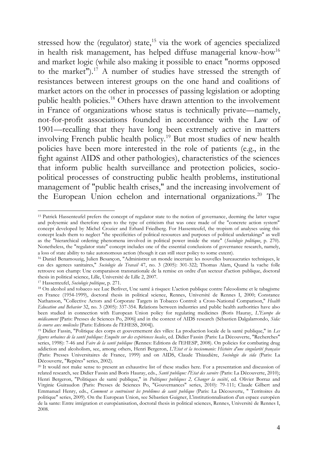stressed how the (regulator) state,<sup>15</sup> via the work of agencies specialized in health risk management, has helped diffuse managerial know-how<sup>16</sup> and market logic (while also making it possible to enact "norms opposed to the market").<sup>17</sup> A number of studies have stressed the strength of resistances between interest groups on the one hand and coalitions of market actors on the other in processes of passing legislation or adopting public health policies.<sup>18</sup> Others have drawn attention to the involvement in France of organizations whose status is technically private—namely, not-for-profit associations founded in accordance with the Law of 1901—recalling that they have long been extremely active in matters involving French public health policy.<sup>19</sup> But most studies of new health policies have been more interested in the role of patients (e.g., in the fight against AIDS and other pathologies), characteristics of the sciences that inform public health surveillance and protection policies, sociopolitical processes of constructing public health problems, institutional management of "public health crises," and the increasing involvement of the European Union echelon and international organizations.<sup>20</sup> The

<sup>&</sup>lt;sup>15</sup> Patrick Hassenteufel prefers the concept of regulator state to the notion of governance, deeming the latter vague and polysemic and therefore open to the type of criticism that was once made of the "concrete action system" concept developed by Michel Crozier and Erhard Friedberg. For Hassenteufel, the tropism of analyses using this concept leads them to neglect "the specificities of political resources and purposes of political undertakings" as well as the "hierarchical ordering phenomena involved in political power inside the state" (*Sociologie politique*, p. 270). Nonetheless, the "regulator state" concept includes one of the essential conclusions of governance research, namely, a loss of state ability to take autonomous action (though it can still steer policy to some extent).

<sup>16</sup> Daniel Benamouzig, Julien Besançon, "Administrer un monde incertain: les nouvelles bureaucraties techniques, le cas des agences sanitaires," *Sociologie du Travail* 47, no. 3 (2005): 301-322; Thomas Alam, Quand la vache folle retrouve son champ: Une comparaison transnationale de la remise en ordre d'un secteur d'action publique, doctoral thesis in political science, Lille, Université de Lille 2, 2007.

<sup>17</sup> Hassenteufel, *Sociologie politique*, p. 271.

<sup>18</sup> On alcohol and tobacco see Luc Berlivet, Une santé à risques: L'action publique contre l'alcoolisme et le tabagisme en France (1954-1999), doctoral thesis in political science, Rennes, Université de Rennes I, 2000; Constance Nathanson, "Collective Actors and Corporate Targets in Tobacco Control: a Cross-National Comparison," *Health Education and Behavior* 32, no. 3 (2005): 337-354. Relations between industries and public health authorities have also been studied in connection with European Union policy for regulating medicines (Boris Hauray, *L'Europe du médicament* [Paris: Presses de Sciences Po, 2006] and in the context of AIDS research (Sébastien Dalgalarrondo, *Sida: la course aux molécules* [Paris: Editions de l'EHESS, 2004]).

<sup>19</sup> Didier Fassin, "Politique des corps et gouvernement des villes: La production locale de la santé publique," in *Les*  figures urbaines de la santé publique: Enquête sur des expériences locales, ed. Didier Fassin (Paris: La Découverte, "Recherches" series, 1998): 7-46 and *Faire de la santé publique* (Rennes: Editions de l'EHESP, 2008). On policies for combating drug addiction and alcoholism, see, among others, Henri Bergeron, *L'Etat et la toxicomanie: Histoire d'une singularité française* (Paris: Presses Universitaires de France, 1999) and on AIDS, Claude Thiaudière, *Sociologie du sida* (Paris: La Découverte, "Repères" series, 2002).

<sup>&</sup>lt;sup>20</sup> It would not make sense to present an exhaustive list of these studies here. For a presentation and discussion of related research, see Didier Fassin and Boris Hauray, eds., *Santé publique: l'Etat des savoirs* (Paris: La Découverte, 2010); Henri Bergeron, "Politiques de santé publique," in *Politiques publiques 2, Changer la société*, ed. Olivier Borraz and Virginie Guiraudon (Paris: Presses de Sciences Po, "Gouvernances" series, 2010): 79-111; Claude Gilbert and Emmanuel Henry, eds., *Comment se contruisent les problèmes de santé publique* (Paris: La Découverte, " Territoires du politique" series, 2009). On the European Union, see Sébastien Guigner, L'institutionnalisation d'un espace européen de la sante: Entre intégration et européanisation, doctoral thesis in political sciences, Rennes, Université de Rennes I, 2008.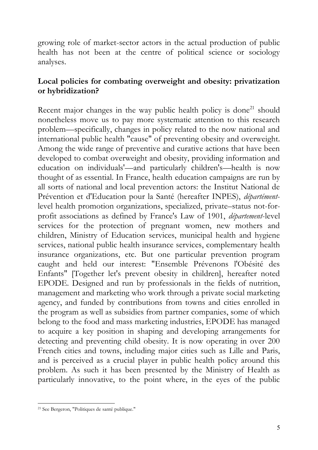growing role of market-sector actors in the actual production of public health has not been at the centre of political science or sociology analyses.

#### **Local policies for combating overweight and obesity: privatization or hybridization?**

Recent major changes in the way public health policy is done<sup>21</sup> should nonetheless move us to pay more systematic attention to this research problem—specifically, changes in policy related to the now national and international public health "cause" of preventing obesity and overweight. Among the wide range of preventive and curative actions that have been developed to combat overweight and obesity, providing information and education on individuals'—and particularly children's—health is now thought of as essential. In France, health education campaigns are run by all sorts of national and local prevention actors: the Institut National de Prévention et d'Education pour la Santé (hereafter INPES), *départément*level health promotion organizations, specialized, private–status not-forprofit associations as defined by France's Law of 1901, *département*-level services for the protection of pregnant women, new mothers and children, Ministry of Education services, municipal health and hygiene services, national public health insurance services, complementary health insurance organizations, etc. But one particular prevention program caught and held our interest: "Ensemble Prévenons l'Obésité des Enfants" [Together let's prevent obesity in children], hereafter noted EPODE. Designed and run by professionals in the fields of nutrition, management and marketing who work through a private social marketing agency, and funded by contributions from towns and cities enrolled in the program as well as subsidies from partner companies, some of which belong to the food and mass marketing industries, EPODE has managed to acquire a key position in shaping and developing arrangements for detecting and preventing child obesity. It is now operating in over 200 French cities and towns, including major cities such as Lille and Paris, and is perceived as a crucial player in public health policy around this problem. As such it has been presented by the Ministry of Health as particularly innovative, to the point where, in the eyes of the public

<sup>21</sup> See Bergeron, "Politiques de santé publique."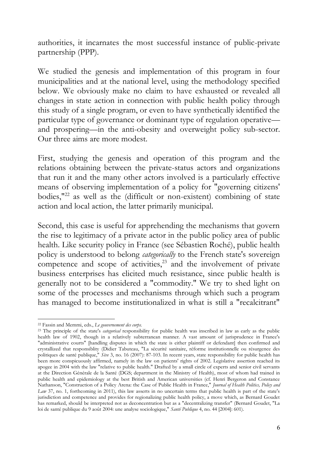authorities, it incarnates the most successful instance of public-private partnership (PPP).

We studied the genesis and implementation of this program in four municipalities and at the national level, using the methodology specified below. We obviously make no claim to have exhausted or revealed all changes in state action in connection with public health policy through this study of a single program, or even to have synthetically identified the particular type of governance or dominant type of regulation operative and prospering—in the anti-obesity and overweight policy sub-sector. Our three aims are more modest.

First, studying the genesis and operation of this program and the relations obtaining between the private-status actors and organizations that run it and the many other actors involved is a particularly effective means of observing implementation of a policy for "governing citizens' bodies,"<sup>22</sup> as well as the (difficult or non-existent) combining of state action and local action, the latter primarily municipal.

Second, this case is useful for apprehending the mechanisms that govern the rise to legitimacy of a private actor in the public policy area of public health. Like security policy in France (see Sébastien Roché), public health policy is understood to belong *categorically* to the French state's sovereign competence and scope of activities, $23$  and the involvement of private business enterprises has elicited much resistance, since public health is generally not to be considered a "commodity." We try to shed light on some of the processes and mechanisms through which such a program has managed to become institutionalized in what is still a "recalcitrant"

<sup>22</sup> Fassin and Memmi, eds., *Le gouvernement des corps.*

<sup>23</sup> The principle of the state's *categorical* responsibility for public health was inscribed in law as early as the public health law of 1902, though in a relatively subterranean manner. A vast amount of jurisprudence in France's "administrative courts" [handling disputes in which the state is either plaintiff or defendant] then confirmed and crystallized that responsiblity (Didier Tabuteau, "La sécurité sanitaire, réforme institutionnelle ou résurgence des politiques de santé publique," *Sève* 3, no. 16 (2007): 87-103. In recent years, state responsibility for public health has been more conspicuously affirmed, namely in the law on patients' rights of 2002. Legislative assertion reached its apogee in 2004 with the law "relative to public health." Drafted by a small circle of experts and senior civil servants at the Direction Générale de la Santé (DGS; department in the Ministry of Health), most of whom had trained in public health and epidemiology at the best British and American universities (cf. Henri Bergeron and Constance Nathanson, "Construction of a Policy Arena: the Case of Public Health in France," *Journal of Health Politics, Policy and Law* 37, no. 1, forthcoming in 2011), this law asserts in no uncertain terms that public health is part of the state's jurisdiction and competence and provides for regionalizing public health policy, a move which, as Bernard Goudet has remarked, should be interpreted not as deconcentration but as a "decentralizing transfer" (Bernard Goudet, "La loi de santé publique du 9 août 2004: une analyse sociologique," *Santé Publique* 4, no. 44 [2004]: 601).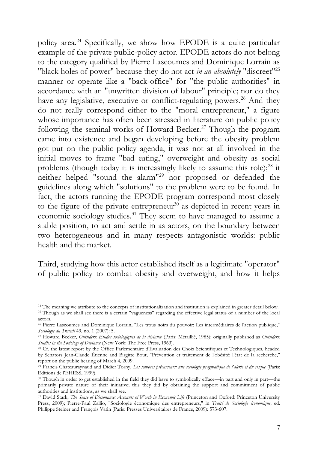policy area.<sup>24</sup> Specifically, we show how EPODE is a quite particular example of the private public-policy actor. EPODE actors do not belong to the category qualified by Pierre Lascoumes and Dominique Lorrain as "black holes of power" because they do not act *in an absolutely* "discreet"<sup>25</sup> manner or operate like a "back-office" for "the public authorities" in accordance with an "unwritten division of labour" principle; nor do they have any legislative, executive or conflict-regulating powers.<sup>26</sup> And they do not really correspond either to the "moral entrepreneur," a figure whose importance has often been stressed in literature on public policy following the seminal works of Howard Becker.<sup>27</sup> Though the program came into existence and began developing before the obesity problem got put on the public policy agenda, it was not at all involved in the initial moves to frame "bad eating," overweight and obesity as social problems (though today it is increasingly likely to assume this role);<sup>28</sup> it neither helped "sound the alarm"<sup>29</sup> nor proposed or defended the guidelines along which "solutions" to the problem were to be found. In fact, the actors running the EPODE program correspond most closely to the figure of the private entrepreneur<sup>30</sup> as depicted in recent years in economic sociology studies.<sup>31</sup> They seem to have managed to assume a stable position, to act and settle in as actors, on the boundary between two heterogeneous and in many respects antagonistic worlds: public health and the market.

Third, studying how this actor established itself as a legitimate "operator" of public policy to combat obesity and overweight, and how it helps

<sup>&</sup>lt;sup>24</sup> The meaning we attribute to the concepts of institutionalization and institution is explained in greater detail below.

<sup>25</sup> Though as we shall see there is a certain "vagueness" regarding the effective legal status of a number of the local actors.

<sup>26</sup> Pierre Lascoumes and Dominique Lorrain, "Les trous noirs du pouvoir: Les intermédiaires de l'action publique," *Sociologie du Travail* 49, no. 1 (2007): 5.

<sup>27</sup> Howard Becker, *Outsiders: Etudes sociologiques de la déviance* (Paris: Métaillié, 1985); originally published as *Outsiders: Studies in the Sociology of Deviance* (New York: The Free Press, 1963).

<sup>28</sup> Cf. the latest report by the Office Parlementaire d'Evaluation des Choix Scientifiques et Technologiques, headed by Senators Jean-Claude Étienne and Birgitte Bout, "Prévention et traitement de l'obésité: l'état de la recherche," report on the public hearing of March 4, 2009.

<sup>29</sup> Francis Chateauraynaud and Didier Torny, *Les sombres précurseurs: une sociologie pragmatique de l'alerte et du risque* (Paris: Editions de l'EHESS, 1999).

<sup>30</sup> Though in order to get established in the field they did have to symbolically efface—in part and only in part—the primarily private nature of their initiative; this they did by obtaining the support and commitment of public authorities and institutions, as we shall see.

<sup>&</sup>lt;sup>31</sup> David Stark, *The Sense of Dissonance: Accounts of Worth in Economic Life* (Princeton and Oxford: Princeton University Press, 2009); Pierre-Paul Zallio, "Sociologie économique des entrepreneurs," in *Traité de Sociologie économique*, ed. Philippe Steiner and François Vatin (Paris: Presses Universitaires de France, 2009): 573-607.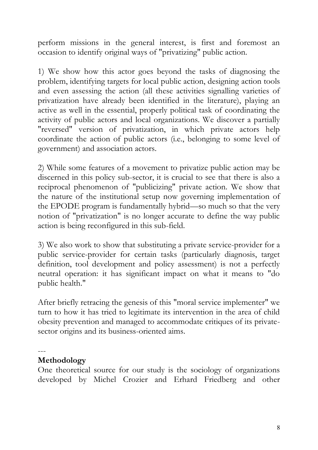perform missions in the general interest, is first and foremost an occasion to identify original ways of "privatizing" public action.

1) We show how this actor goes beyond the tasks of diagnosing the problem, identifying targets for local public action, designing action tools and even assessing the action (all these activities signalling varieties of privatization have already been identified in the literature), playing an active as well in the essential, properly political task of coordinating the activity of public actors and local organizations. We discover a partially "reversed" version of privatization, in which private actors help coordinate the action of public actors (i.e., belonging to some level of government) and association actors.

2) While some features of a movement to privatize public action may be discerned in this policy sub-sector, it is crucial to see that there is also a reciprocal phenomenon of "publicizing" private action. We show that the nature of the institutional setup now governing implementation of the EPODE program is fundamentally hybrid—so much so that the very notion of "privatization" is no longer accurate to define the way public action is being reconfigured in this sub-field.

3) We also work to show that substituting a private service-provider for a public service-provider for certain tasks (particularly diagnosis, target definition, tool development and policy assessment) is not a perfectly neutral operation: it has significant impact on what it means to "do public health."

After briefly retracing the genesis of this "moral service implementer" we turn to how it has tried to legitimate its intervention in the area of child obesity prevention and managed to accommodate critiques of its privatesector origins and its business-oriented aims.

---

#### **Methodology**

One theoretical source for our study is the sociology of organizations developed by Michel Crozier and Erhard Friedberg and other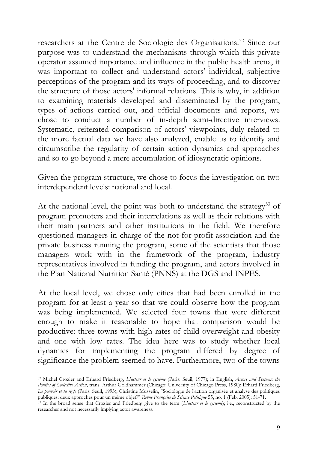researchers at the Centre de Sociologie des Organisations.<sup>32</sup> Since our purpose was to understand the mechanisms through which this private operator assumed importance and influence in the public health arena, it was important to collect and understand actors' individual, subjective perceptions of the program and its ways of proceeding, and to discover the structure of those actors' informal relations. This is why, in addition to examining materials developed and disseminated by the program, types of actions carried out, and official documents and reports, we chose to conduct a number of in-depth semi-directive interviews. Systematic, reiterated comparison of actors' viewpoints, duly related to the more factual data we have also analyzed, enable us to identify and circumscribe the regularity of certain action dynamics and approaches and so to go beyond a mere accumulation of idiosyncratic opinions.

Given the program structure, we chose to focus the investigation on two interdependent levels: national and local.

At the national level, the point was both to understand the strategy<sup>33</sup> of program promoters and their interrelations as well as their relations with their main partners and other institutions in the field. We therefore questioned managers in charge of the not-for-profit association and the private business running the program, some of the scientists that those managers work with in the framework of the program, industry representatives involved in funding the program, and actors involved in the Plan National Nutrition Santé (PNNS) at the DGS and INPES.

At the local level, we chose only cities that had been enrolled in the program for at least a year so that we could observe how the program was being implemented. We selected four towns that were different enough to make it reasonable to hope that comparison would be productive: three towns with high rates of child overweight and obesity and one with low rates. The idea here was to study whether local dynamics for implementing the program differed by degree of significance the problem seemed to have. Furthermore, two of the towns

<sup>32</sup> Michel Crozier and Erhard Friedberg, *L'acteur et le système* (Paris: Seuil, 1977); in English, *Actors and Systems: the Politics of Collective Action*, trans. Arthur Goldhammer (Chicago: University of Chicago Press, 1980); Erhard Friedberg, *Le pouvoir et la règle* (Paris: Seuil, 1993); Christine Musselin, "Sociologie de l'action organisée et analyse des politiques publiques: deux approches pour un même objet?" *Revue Française de Science Politique* 55, no. 1 (Feb. 2005): 51-71.

<sup>33</sup> In the broad sense that Crozier and Friedberg give to the term (*L'acteur et le système*); i.e., reconstructed by the researcher and not necessarily implying actor awareness.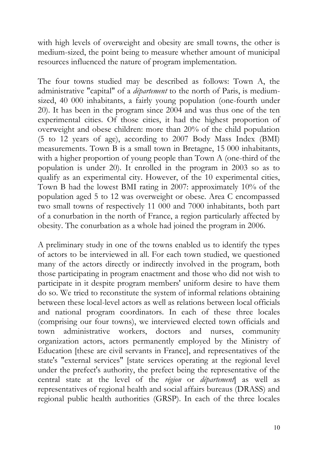with high levels of overweight and obesity are small towns, the other is medium-sized, the point being to measure whether amount of municipal resources influenced the nature of program implementation.

The four towns studied may be described as follows: Town A, the administrative "capital" of a *département* to the north of Paris, is mediumsized, 40 000 inhabitants, a fairly young population (one-fourth under 20). It has been in the program since 2004 and was thus one of the ten experimental cities. Of those cities, it had the highest proportion of overweight and obese children: more than 20% of the child population (5 to 12 years of age), according to 2007 Body Mass Index (BMI) measurements. Town B is a small town in Bretagne, 15 000 inhabitants, with a higher proportion of young people than Town A (one-third of the population is under 20). It enrolled in the program in 2003 so as to qualify as an experimental city. However, of the 10 experimental cities, Town B had the lowest BMI rating in 2007: approximately 10% of the population aged 5 to 12 was overweight or obese. Area C encompassed two small towns of respectively 11 000 and 7000 inhabitants, both part of a conurbation in the north of France, a region particularly affected by obesity. The conurbation as a whole had joined the program in 2006.

A preliminary study in one of the towns enabled us to identify the types of actors to be interviewed in all. For each town studied, we questioned many of the actors directly or indirectly involved in the program, both those participating in program enactment and those who did not wish to participate in it despite program members' uniform desire to have them do so. We tried to reconstitute the system of informal relations obtaining between these local-level actors as well as relations between local officials and national program coordinators. In each of these three locales (comprising our four towns), we interviewed elected town officials and town administrative workers, doctors and nurses, community organization actors, actors permanently employed by the Ministry of Education [these are civil servants in France], and representatives of the state's "external services" [state services operating at the regional level under the prefect's authority, the prefect being the representative of the central state at the level of the *région* or *département*] as well as representatives of regional health and social affairs bureaus (DRASS) and regional public health authorities (GRSP). In each of the three locales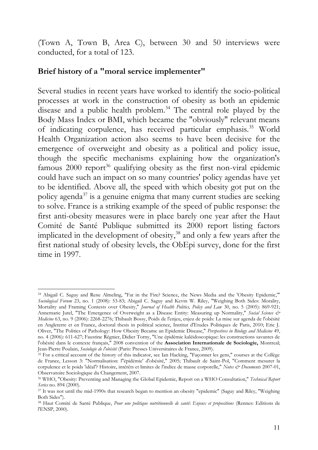(Town A, Town B, Area C), between 30 and 50 interviews were conducted, for a total of 123.

#### **Brief history of a "moral service implementer"**

Several studies in recent years have worked to identify the socio-political processes at work in the construction of obesity as both an epidemic disease and a public health problem.<sup>34</sup> The central role played by the Body Mass Index or BMI, which became the "obviously" relevant means of indicating corpulence, has received particular emphasis.<sup>35</sup> World Health Organization action also seems to have been decisive for the emergence of overweight and obesity as a political and policy issue, though the specific mechanisms explaining how the organization's famous  $2000$  report<sup>36</sup> qualifying obesity as the first non-viral epidemic could have such an impact on so many countries' policy agendas have yet to be identified. Above all, the speed with which obesity got put on the policy agenda<sup>37</sup> is a genuine enigma that many current studies are seeking to solve. France is a striking example of the speed of public response: the first anti-obesity measures were in place barely one year after the Haut Comité de Santé Publique submitted its 2000 report listing factors implicated in the development of obesity,<sup>38</sup> and only a few years after the first national study of obesity levels, the ObEpi survey, done for the first time in 1997.

<sup>34</sup> Abigail C. Saguy and Rene Almeling, "Fat in the Fire? Science, the News Media and the 'Obesity Epidemic,'" *Sociological Forum* 23, no. 1 (2008): 53-83; Abigail C. Saguy and Kevin W. Riley, "Weighing Both Sides: Morality, Mortality and Framing Contests over Obesity," *Journal of Health Politics, Policy and Law* 30, no. 5 (2005): 869-921; Annemarie Jutel, "The Emergence of Overweight as a Disease Entity: Measuring up Normality," *Social Science & Medicine* 63, no. 9 (2006): 2268-2276; Thibault Bossy, Poids de l'enjeu, enjeu de poids: La mise sur agenda de l'obésité en Angleterre et en France, doctoral thesis in political science, Institut d'Etudes Politiques de Paris, 2010; Eric J. Oliver, "The Politics of Pathology: How Obesity Became an Epidemic Disease," *Perspectives in Biology and Medicine* 49, no. 4 (2006): 611-627; Faustine Régnier, Didier Torny, "Une épidémie kaléidoscopique: les constructions savantes de l'obésité dans le contexte français," 2008 convention of the **Association Internationale de Sociologie,** Montreal; Jean-Pierre Poulain, *Sociologie de l'obésité* (Paris: Presses Universitaires de France, 2009).

<sup>&</sup>lt;sup>35</sup> For a critical account of the history of this indicator, see Ian Hacking, "Façonner les gens," courses at the Collège de France, Lesson 3: "Normalisation: l''épidémie' d'obésité," 2005; Thibault de Saint-Pol, "Comment mesurer la corpulence et le poids 'idéal'? Histoire, intérêts et limites de l'indice de masse corporelle," *Notes & Documents* 2007-01, Observatoire Sociologique du Changement, 2007.

<sup>36</sup> WHO, "Obesity: Preventing and Managing the Global Epidemic, Report on a WHO Consultation," *Technical Report Series* no. 894 (2000).

<sup>37</sup> It was not until the mid-1990s that research began to mention an obesity "epidemic" (Saguy and Riley, "Weighing Both Sides").

<sup>38</sup> Haut Comité de Santé Publique, *Pour une politique nutritionnelle de santé: Enjeux et propositions* (Rennes: Editions de l'ENSP, 2000).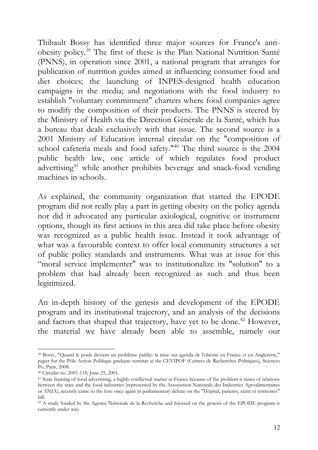Thibault Bossy has identified three major sources for France's antiobesity policy.<sup>39</sup> The first of these is the Plan National Nutrition Santé (PNNS), in operation since 2001, a national program that arranges for publication of nutrition guides aimed at influencing consumer food and diet choices; the launching of INPES-designed health education campaigns in the media; and negotiations with the food industry to establish "voluntary commitment" charters where food companies agree to modify the composition of their products. The PNNS is steered by the Ministry of Health via the Direction Générale de la Santé, which has a bureau that deals exclusively with that issue. The second source is a 2001 Ministry of Education internal circular on the "composition of school cafeteria meals and food safety."<sup>40</sup> The third source is the 2004 public health law, one article of which regulates food product advertising<sup>41</sup> while another prohibits beverage and snack-food vending machines in schools.

As explained, the community organization that started the EPODE program did not really play a part in getting obesity on the policy agenda nor did it advocated any particular axiological, cognitive or instrument options, though its first actions in this area did take place before obesity was recognized as a public health issue. Instead it took advantage of what was a favourable context to offer local community structures a set of public policy standards and instruments. What was at issue for this "moral service implementer" was to institutionalize its "solution" to a problem that had already been recognized as such and thus been legitimized.

An in-depth history of the genesis and development of the EPODE program and its institutional trajectory, and an analysis of the decisions and factors that shaped that trajectory, have yet to be done.<sup>42</sup> However, the material we have already been able to assemble, namely our

<sup>39</sup> Bossy, "Quand le poids devient un problème public: la mise sur agenda de l'obésité en France et en Angleterre," paper for the Pôle Action Publique graduate seminar at the CEVIPOF (Centres de Recherches Politiques), Sciences Po, Paris, 2008.

<sup>40</sup> Circular no. 2001-118, June 25, 2001.

<sup>41</sup> State framing of food advertising, a highly conflictual matter in France because of the problem it raises of relations between the state and the food industries (represented by the Association Nationale des Industries Agroalimentaires or ANIA), recently came to the fore once again in parliamentary debate on the "Hôpital, patients, santé et territoires" bill.

<sup>42</sup> A study funded by the Agence Nationale de la Recherche and focused on the genesis of the EPODE program is currently under way.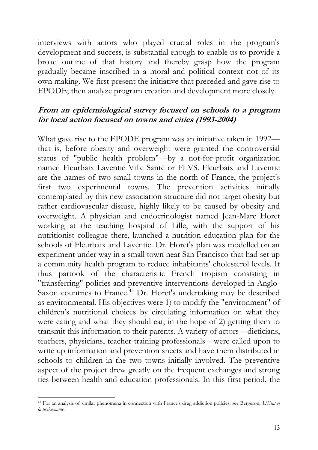interviews with actors who played crucial roles in the program's development and success, is substantial enough to enable us to provide a broad outline of that history and thereby grasp how the program gradually became inscribed in a moral and political context not of its own making. We first present the initiative that preceded and gave rise to EPODE; then analyze program creation and development more closely.

#### **From an epidemiological survey focused on schools to a program for local action focused on towns and cities (1993-2004)**

What gave rise to the EPODE program was an initiative taken in 1992 that is, before obesity and overweight were granted the controversial status of "public health problem"—by a not-for-profit organization named Fleurbaix Laventie Ville Santé or FLVS. Fleurbaix and Laventie are the names of two small towns in the north of France, the project's first two experimental towns. The prevention activities initially contemplated by this new association structure did not target obesity but rather cardiovascular disease, highly likely to be caused by obesity and overweight. A physician and endocrinologist named Jean-Marc Horet working at the teaching hospital of Lille, with the support of his nutritionist colleague there, launched a nutrition education plan for the schools of Fleurbaix and Laventie. Dr. Horet's plan was modelled on an experiment under way in a small town near San Francisco that had set up a community health program to reduce inhabitants' cholesterol levels. It thus partook of the characteristic French tropism consisting in "transferring" policies and preventive interventions developed in Anglo-Saxon countries to France.<sup>43</sup> Dr. Horet's undertaking may be described as environmental. His objectives were 1) to modify the "environment" of children's nutritional choices by circulating information on what they were eating and what they should eat, in the hope of 2) getting them to transmit this information to their parents. A variety of actors—dieticians, teachers, physicians, teacher-training professionals—were called upon to write up information and prevention sheets and have them distributed in schools to children in the two towns initially involved. The preventive aspect of the project drew greatly on the frequent exchanges and strong ties between health and education professionals. In this first period, the

<sup>43</sup> For an analysis of similar phenomena in connection with France's drug addiction policies, see Bergeron, *L'Etat et la toxicomanie*.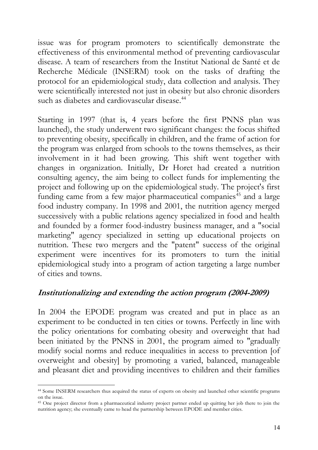issue was for program promoters to scientifically demonstrate the effectiveness of this environmental method of preventing cardiovascular disease. A team of researchers from the Institut National de Santé et de Recherche Médicale (INSERM) took on the tasks of drafting the protocol for an epidemiological study, data collection and analysis. They were scientifically interested not just in obesity but also chronic disorders such as diabetes and cardiovascular disease.<sup>44</sup>

Starting in 1997 (that is, 4 years before the first PNNS plan was launched), the study underwent two significant changes: the focus shifted to preventing obesity, specifically in children, and the frame of action for the program was enlarged from schools to the towns themselves, as their involvement in it had been growing. This shift went together with changes in organization. Initially, Dr Horet had created a nutrition consulting agency, the aim being to collect funds for implementing the project and following up on the epidemiological study. The project's first funding came from a few major pharmaceutical companies<sup>45</sup> and a large food industry company. In 1998 and 2001, the nutrition agency merged successively with a public relations agency specialized in food and health and founded by a former food-industry business manager, and a "social marketing" agency specialized in setting up educational projects on nutrition. These two mergers and the "patent" success of the original experiment were incentives for its promoters to turn the initial epidemiological study into a program of action targeting a large number of cities and towns.

#### **Institutionalizing and extending the action program (2004-2009)**

In 2004 the EPODE program was created and put in place as an experiment to be conducted in ten cities or towns. Perfectly in line with the policy orientations for combating obesity and overweight that had been initiated by the PNNS in 2001, the program aimed to "gradually modify social norms and reduce inequalities in access to prevention [of overweight and obesity] by promoting a varied, balanced, manageable and pleasant diet and providing incentives to children and their families

<sup>44</sup> Some INSERM researchers thus acquired the status of experts on obesity and launched other scientific programs on the issue.

<sup>45</sup> One project director from a pharmaceutical industry project partner ended up quitting her job there to join the nutrition agency; she eventually came to head the partnership between EPODE and member cities.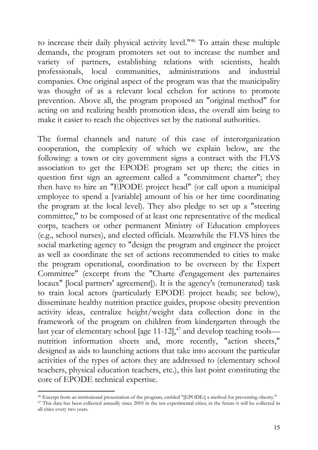to increase their daily physical activity level."<sup>46</sup> To attain these multiple demands, the program promoters set out to increase the number and variety of partners, establishing relations with scientists, health professionals, local communities, administrations and industrial companies. One original aspect of the program was that the municipality was thought of as a relevant local echelon for actions to promote prevention. Above all, the program proposed an "original method" for acting on and realizing health promotion ideas, the overall aim being to make it easier to reach the objectives set by the national authorities.

The formal channels and nature of this case of interorganization cooperation, the complexity of which we explain below, are the following: a town or city government signs a contract with the FLVS association to get the EPODE program set up there; the cities in question first sign an agreement called a "commitment charter"; they then have to hire an "EPODE project head" (or call upon a municipal employee to spend a [variable] amount of his or her time coordinating the program at the local level). They also pledge to set up a "steering committee," to be composed of at least one representative of the medical corps, teachers or other permanent Ministry of Education employees (e.g., school nurses), and elected officials. Meanwhile the FLVS hires the social marketing agency to "design the program and engineer the project as well as coordinate the set of actions recommended to cities to make the program operational, coordination to be overseen by the Expert Committee" (excerpt from the "Charte d'engagement des partenaires locaux" [local partners' agreement]). It is the agency's (remunerated) task to train local actors (particularly EPODE project heads; see below), disseminate healthy nutrition practice guides, propose obesity prevention activity ideas, centralize height/weight data collection done in the framework of the program on children from kindergarten through the last year of elementary school [age 11-12], $^{47}$  and develop teaching tools nutrition information sheets and, more recently, "action sheets," designed as aids to launching actions that take into account the particular activities of the types of actors they are addressed to (elementary school teachers, physical education teachers, etc.), this last point constituting the core of EPODE technical expertise.

<sup>46</sup> Excerpt from an institutional presentation of the program, entitled "[EPODE:] a method for preventing obesity."

<sup>&</sup>lt;sup>47</sup> This data has been collected annually since 2005 in the ten experimental cities; in the future it will be collected in all cities every two years.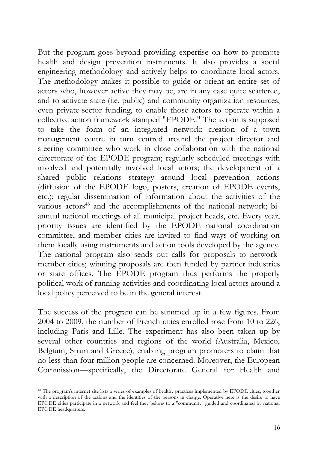But the program goes beyond providing expertise on how to promote health and design prevention instruments. It also provides a social engineering methodology and actively helps to coordinate local actors. The methodology makes it possible to guide or orient an entire set of actors who, however active they may be, are in any case quite scattered, and to activate state (i.e. public) and community organization resources, even private-sector funding, to enable those actors to operate within a collective action framework stamped "EPODE." The action is supposed to take the form of an integrated network: creation of a town management centre in turn centred around the project director and steering committee who work in close collaboration with the national directorate of the EPODE program; regularly scheduled meetings with involved and potentially involved local actors; the development of a shared public relations strategy around local prevention actions (diffusion of the EPODE logo, posters, creation of EPODE events, etc.); regular dissemination of information about the activities of the various actors<sup>48</sup> and the accomplishments of the national network; biannual national meetings of all municipal project heads, etc. Every year, priority issues are identified by the EPODE national coordination committee, and member cities are invited to find ways of working on them locally using instruments and action tools developed by the agency. The national program also sends out calls for proposals to networkmember cities; winning proposals are then funded by partner industries or state offices. The EPODE program thus performs the properly political work of running activities and coordinating local actors around a local policy perceived to be in the general interest.

The success of the program can be summed up in a few figures. From 2004 to 2009, the number of French cities enrolled rose from 10 to 226, including Paris and Lille. The experiment has also been taken up by several other countries and regions of the world (Australia, Mexico, Belgium, Spain and Greece), enabling program promoters to claim that no less than four million people are concerned. Moreover, the European Commission—specifically, the Directorate General for Health and

<sup>48</sup> The program's internet site lists a series of examples of healthy practices implemented by EPODE cities, together with a description of the actions and the identities of the persons in charge. Operative here is the desire to have EPODE cities participate in a network and feel they belong to a "community" guided and coordinated by national EPODE headquarters.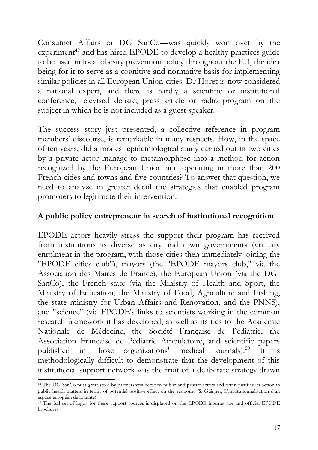Consumer Affairs or DG SanCo—was quickly won over by the experiment<sup>49</sup> and has hired EPODE to develop a healthy practices guide to be used in local obesity prevention policy throughout the EU, the idea being for it to serve as a cognitive and normative basis for implementing similar policies in all European Union cities. Dr Horet is now considered a national expert, and there is hardly a scientific or institutional conference, televised debate, press article or radio program on the subject in which he is not included as a guest speaker.

The success story just presented, a collective reference in program members' discourse, is remarkable in many respects. How, in the space of ten years, did a modest epidemiological study carried out in two cities by a private actor manage to metamorphose into a method for action recognized by the European Union and operating in more than 200 French cities and towns and five countries? To answer that question, we need to analyze in greater detail the strategies that enabled program promoters to legitimate their intervention.

## **A public policy entrepreneur in search of institutional recognition**

EPODE actors heavily stress the support their program has received from institutions as diverse as city and town governments (via city enrolment in the program, with those cities then immediately joining the "EPODE cities club"), mayors (the "EPODE mayors club," via the Association des Maires de France), the European Union (via the DG-SanCo), the French state (via the Ministry of Health and Sport, the Ministry of Education, the Ministry of Food, Agriculture and Fishing, the state ministry for Urban Affairs and Renovation, and the PNNS), and "science" (via EPODE's links to scientists working in the common research framework it has developed, as well as its ties to the Académie Nationale de Médecine, the Société Française de Pédiatrie, the Association Française de Pédiatrie Ambulatoire, and scientific papers published in those organizations' medical journals).<sup>50</sup> It is methodologically difficult to demonstrate that the development of this institutional support network was the fruit of a deliberate strategy drawn

<sup>49</sup> The DG SanCo puts great store by partnerships between public and private actors and often justifies its action in public health matters in terms of potential positive effect on the economy (S. Guigner, L'institutionnalisation d'un espace européen de la santé).

<sup>50</sup> The full set of logos for these support sources is displayed on the EPODE internet site and official EPODE brochures.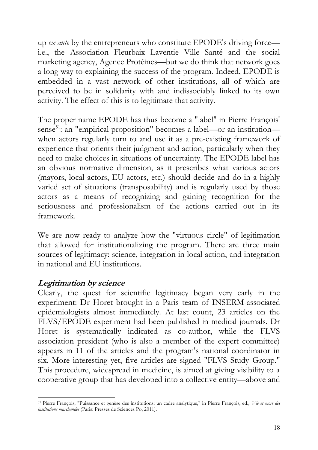up *ex ante* by the entrepreneurs who constitute EPODE's driving force i.e., the Association Fleurbaix Laventie Ville Santé and the social marketing agency, Agence Protéines—but we do think that network goes a long way to explaining the success of the program. Indeed, EPODE is embedded in a vast network of other institutions, all of which are perceived to be in solidarity with and indissociably linked to its own activity. The effect of this is to legitimate that activity.

The proper name EPODE has thus become a "label" in Pierre François' sense<sup>51</sup>: an "empirical proposition" becomes a label—or an institution when actors regularly turn to and use it as a pre-existing framework of experience that orients their judgment and action, particularly when they need to make choices in situations of uncertainty. The EPODE label has an obvious normative dimension, as it prescribes what various actors (mayors, local actors, EU actors, etc.) should decide and do in a highly varied set of situations (transposability) and is regularly used by those actors as a means of recognizing and gaining recognition for the seriousness and professionalism of the actions carried out in its framework.

We are now ready to analyze how the "virtuous circle" of legitimation that allowed for institutionalizing the program. There are three main sources of legitimacy: science, integration in local action, and integration in national and EU institutions.

### **Legitimation by science**

Clearly, the quest for scientific legitimacy began very early in the experiment: Dr Horet brought in a Paris team of INSERM-associated epidemiologists almost immediately. At last count, 23 articles on the FLVS/EPODE experiment had been published in medical journals. Dr Horet is systematically indicated as co-author, while the FLVS association president (who is also a member of the expert committee) appears in 11 of the articles and the program's national coordinator in six. More interesting yet, five articles are signed "FLVS Study Group." This procedure, widespread in medicine, is aimed at giving visibility to a cooperative group that has developed into a collective entity—above and

<sup>51</sup> Pierre François, "Puissance et genèse des institutions: un cadre analytique," in Pierre François, ed., *Vie et mort des institutions marchandes* (Paris: Presses de Sciences Po, 2011).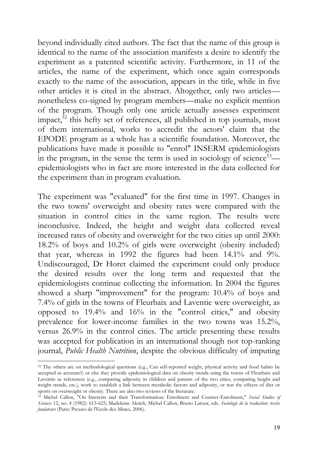beyond individually cited authors. The fact that the name of this group is identical to the name of the association manifests a desire to identify the experiment as a patented scientific activity. Furthermore, in 11 of the articles, the name of the experiment, which once again corresponds exactly to the name of the association, appears in the title, while in five other articles it is cited in the abstract. Altogether, only two articles nonetheless co-signed by program members—make no explicit mention of the program. Though only one article actually assesses experiment impact, $52$  this hefty set of references, all published in top journals, most of them international, works to accredit the actors' claim that the EPODE program as a whole has a scientific foundation. Moreover, the publications have made it possible to "enrol" INSERM epidemiologists in the program, in the sense the term is used in sociology of science $53$  epidemiologists who in fact are more interested in the data collected for the experiment than in program evaluation.

The experiment was "evaluated" for the first time in 1997. Changes in the two towns' overweight and obesity rates were compared with the situation in control cities in the same region. The results were inconclusive. Indeed, the height and weight data collected reveal increased rates of obesity and overweight for the two cities up until 2000: 18.2% of boys and 10.2% of girls were overweight (obesity included) that year, whereas in 1992 the figures had been 14.1% and 9%. Undiscouraged, Dr Horet claimed the experiment could only produce the desired results over the long term and requested that the epidemiologists continue collecting the information. In 2004 the figures showed a sharp "improvement" for the program: 10.4% of boys and 7.4% of girls in the towns of Fleurbaix and Laventie were overweight, as opposed to 19.4% and 16% in the "control cities," and obesity prevalence for lower-income families in the two towns was 15.2%, versus 26.9% in the control cities. The article presenting these results was accepted for publication in an international though not top-ranking journal, *Public Health Nutrition*, despite the obvious difficulty of imputing

<sup>&</sup>lt;sup>52</sup> The others are on methodological questions (e.g., Can self-reported weight, physical activity and food habits be accepted as accurate?) or else they provide epidemiological data on obesity trends using the towns of Fleurbaix and Laventie as references (e.g., comparing adiposity in children and parents of the two cities, comparing height and weight trends, etc.), work to establish a link between metabolic factors and adiposity, or test the effects of diet or sports on overweight or obesity. There are also two reviews of the literature.

<sup>53</sup> Michel Callon, "On Interests and their Transformation: Enrolment and Counter-Enrolment," *Social Studies of Sciences* 12, no. 4 (1982): 615-625; Madeleine Akrich, Michel Callon, Bruno Latour, eds. *Sociologie de la traduction: textes fondateurs* (Paris: Presses de l'Ecole des Mines, 2006).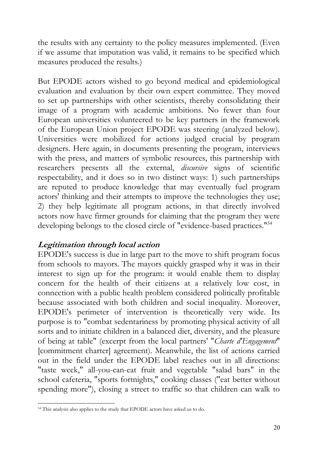the results with any certainty to the policy measures implemented. (Even if we assume that imputation was valid, it remains to be specified which measures produced the results.)

But EPODE actors wished to go beyond medical and epidemiological evaluation and evaluation by their own expert committee. They moved to set up partnerships with other scientists, thereby consolidating their image of a program with academic ambitions. No fewer than four European universities volunteered to be key partners in the framework of the European Union project EPODE was steering (analyzed below). Universities were mobilized for actions judged crucial by program designers. Here again, in documents presenting the program, interviews with the press, and matters of symbolic resources, this partnership with researchers presents all the external, *discursive* signs of scientific respectability, and it does so in two distinct ways: 1) such partnerships are reputed to produce knowledge that may eventually fuel program actors' thinking and their attempts to improve the technologies they use; 2) they help legitimate all program actions, in that directly involved actors now have firmer grounds for claiming that the program they were developing belongs to the closed circle of "evidence-based practices."<sup>54</sup>

### **Legitimation through local action**

EPODE's success is due in large part to the move to shift program focus from schools to mayors. The mayors quickly grasped why it was in their interest to sign up for the program: it would enable them to display concern for the health of their citizens at a relatively low cost, in connection with a public health problem considered politically profitable because associated with both children and social inequality. Moreover, EPODE's perimeter of intervention is theoretically very wide. Its purpose is to "combat sedentariness by promoting physical activity of all sorts and to initiate children in a balanced diet, diversity, and the pleasure of being at table" (excerpt from the local partners' "*Charte d'Engagement*" [commitment charter] agreement). Meanwhile, the list of actions carried out in the field under the EPODE label reaches out in all directions: "taste week," all-you-can-eat fruit and vegetable "salad bars" in the school cafeteria, "sports fortnights," cooking classes ("eat better without spending more"), closing a street to traffic so that children can walk to

<sup>54</sup> This analysis also applies to the study that EPODE actors have asked us to do.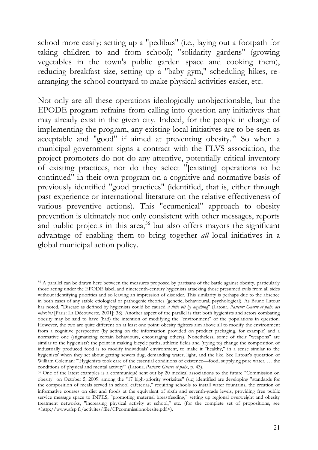school more easily; setting up a "pedibus" (i.e., laying out a footpath for taking children to and from school); "solidarity gardens" (growing vegetables in the town's public garden space and cooking them), reducing breakfast size, setting up a "baby gym," scheduling hikes, rearranging the school courtyard to make physical activities easier, etc.

Not only are all these operations ideologically unobjectionable, but the EPODE program refrains from calling into question any initiatives that may already exist in the given city. Indeed, for the people in charge of implementing the program, any existing local initiatives are to be seen as acceptable and "good" if aimed at preventing obesity.<sup>55</sup> So when a municipal government signs a contract with the FLVS association, the project promoters do not do any attentive, potentially critical inventory of existing practices, nor do they select "[existing] operations to be continued" in their own program on a cognitive and normative basis of previously identified "good practices" (identified, that is, either through past experience or international literature on the relative effectiveness of various preventive actions). This "ecumenical" approach to obesity prevention is ultimately not only consistent with other messages, reports and public projects in this area,<sup>56</sup> but also offers mayors the significant advantage of enabling them to bring together *all* local initiatives in a global municipal action policy.

<sup>55</sup> A parallel can be drawn here between the measures proposed by partisans of the battle against obesity, particularly those acting under the EPODE label, and nineteenth-century hygienists attacking those presumed evils from all sides without identifying priorities and so leaving an impression of disorder. This similarity is perhaps due to the absence in both cases of any stable etiological or pathogenic theories (genetic, behavioural, psychological). As Bruno Latour has noted, "Disease as defined by hygienists could be caused *a little bit by anything*" (Latour, *Pasteur: Guerre et paix des microbes* [Paris: La Découverte, 2001]: 38). Another aspect of the parallel is that both hygienists and actors combating obesity may be said to have (had) the intention of modifying the "environment" of the populations in question. However, the two are quite different on at least one point: obesity fighters aim above all to modify the environment from a cognitive perspective (by acting on the information provided on product packaging, for example) and a normative one (stigmatizing certain behaviours, encouraging others). Nonetheless, some of their "weapons" are similar to the hygienists': the point in making bicycle paths, athletic fields and (trying to) change the composition of industrially produced food is to modify individuals' environment, to make it "healthy," in a sense similar to the hygienists' when they set about getting sewers dug, demanding water, light, and the like. See Latour's quotation of William Coleman: "'Hygienists took care of the essential conditions of existence—food, supplying pure water, … the conditions of physical and mental activity'" (Latour, *Pasteur: Guerre et paix*, p. 43).

<sup>56</sup> One of the latest examples is a communiqué sent out by 20 medical associations to the future "Commission on obesity" on October 5, 2009: among the "17 high-priority worksites" (sic) identified are developing "standards for the composition of meals served in school cafeterias," requiring schools to install water fountains, the creation of informative courses on diet and foods at the equivalent of sixth and seventh-grade levels, providing free public service message space to INPES, "promoting maternal breastfeeding," setting up regional overweight and obesity treatment networks, "increasing physical activity at school," etc. (for the complete set of propositions, see <http://www.sfsp.fr/activites/file/CPcommis**s**ionobesite.pdf>).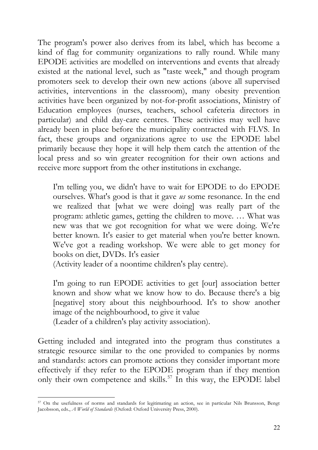The program's power also derives from its label, which has become a kind of flag for community organizations to rally round. While many EPODE activities are modelled on interventions and events that already existed at the national level, such as "taste week," and though program promoters seek to develop their own new actions (above all supervised activities, interventions in the classroom), many obesity prevention activities have been organized by not-for-profit associations, Ministry of Education employees (nurses, teachers, school cafeteria directors in particular) and child day-care centres. These activities may well have already been in place before the municipality contracted with FLVS. In fact, these groups and organizations agree to use the EPODE label primarily because they hope it will help them catch the attention of the local press and so win greater recognition for their own actions and receive more support from the other institutions in exchange.

I'm telling you, we didn't have to wait for EPODE to do EPODE ourselves. What's good is that it gave *us* some resonance. In the end we realized that [what we were doing] was really part of the program: athletic games, getting the children to move. … What was new was that we got recognition for what we were doing. We're better known. It's easier to get material when you're better known. We've got a reading workshop. We were able to get money for books on diet, DVDs. It's easier

(Activity leader of a noontime children's play centre).

I'm going to run EPODE activities to get [our] association better known and show what we know how to do. Because there's a big [negative] story about this neighbourhood. It's to show another image of the neighbourhood, to give it value

(Leader of a children's play activity association).

Getting included and integrated into the program thus constitutes a strategic resource similar to the one provided to companies by norms and standards: actors can promote actions they consider important more effectively if they refer to the EPODE program than if they mention only their own competence and skills.<sup>57</sup> In this way, the EPODE label

<sup>57</sup> On the usefulness of norms and standards for legitimating an action, see in particular Nils Brunsson, Bengt Jacobsson, eds., *A World of Standards* (Oxford: Oxford University Press, 2000).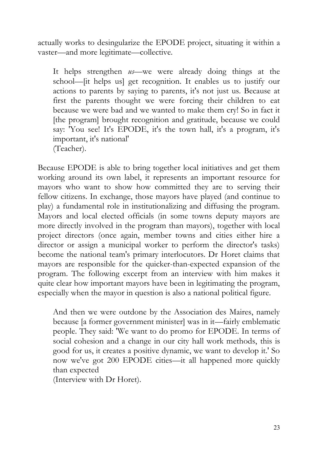actually works to desingularize the EPODE project, situating it within a vaster—and more legitimate—collective.

It helps strengthen *us*—we were already doing things at the school—[it helps us] get recognition. It enables us to justify our actions to parents by saying to parents, it's not just us. Because at first the parents thought we were forcing their children to eat because we were bad and we wanted to make them cry! So in fact it [the program] brought recognition and gratitude, because we could say: 'You see! It's EPODE, it's the town hall, it's a program, it's important, it's national' (Teacher).

Because EPODE is able to bring together local initiatives and get them working around its own label, it represents an important resource for mayors who want to show how committed they are to serving their fellow citizens. In exchange, those mayors have played (and continue to play) a fundamental role in institutionalizing and diffusing the program. Mayors and local elected officials (in some towns deputy mayors are more directly involved in the program than mayors), together with local project directors (once again, member towns and cities either hire a director or assign a municipal worker to perform the director's tasks) become the national team's primary interlocutors. Dr Horet claims that mayors are responsible for the quicker-than-expected expansion of the program. The following excerpt from an interview with him makes it quite clear how important mayors have been in legitimating the program, especially when the mayor in question is also a national political figure.

And then we were outdone by the Association des Maires, namely because [a former government minister] was in it—fairly emblematic people. They said: 'We want to do promo for EPODE. In terms of social cohesion and a change in our city hall work methods, this is good for us, it creates a positive dynamic, we want to develop it.' So now we've got 200 EPODE cities—it all happened more quickly than expected

(Interview with Dr Horet).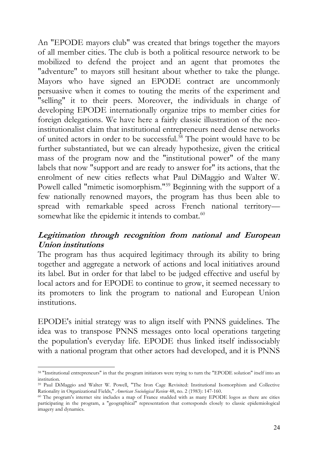An "EPODE mayors club" was created that brings together the mayors of all member cities. The club is both a political resource network to be mobilized to defend the project and an agent that promotes the "adventure" to mayors still hesitant about whether to take the plunge. Mayors who have signed an EPODE contract are uncommonly persuasive when it comes to touting the merits of the experiment and "selling" it to their peers. Moreover, the individuals in charge of developing EPODE internationally organize trips to member cities for foreign delegations. We have here a fairly classic illustration of the neoinstitutionalist claim that institutional entrepreneurs need dense networks of united actors in order to be successful.<sup>58</sup> The point would have to be further substantiated, but we can already hypothesize, given the critical mass of the program now and the "institutional power" of the many labels that now "support and are ready to answer for" its actions, that the enrolment of new cities reflects what Paul DiMaggio and Walter W. Powell called "mimetic isomorphism."<sup>59</sup> Beginning with the support of a few nationally renowned mayors, the program has thus been able to spread with remarkable speed across French national territory somewhat like the epidemic it intends to combat.<sup>60</sup>

#### **Legitimation through recognition from national and European Union institutions**

The program has thus acquired legitimacy through its ability to bring together and aggregate a network of actions and local initiatives around its label. But in order for that label to be judged effective and useful by local actors and for EPODE to continue to grow, it seemed necessary to its promoters to link the program to national and European Union institutions.

EPODE's initial strategy was to align itself with PNNS guidelines. The idea was to transpose PNNS messages onto local operations targeting the population's everyday life. EPODE thus linked itself indissociably with a national program that other actors had developed, and it is PNNS

<sup>58</sup> "Institutional entrepreneurs" in that the program initiators were trying to turn the "EPODE solution" itself into an institution.

<sup>59</sup> Paul DiMaggio and Walter W. Powell, "The Iron Cage Revisited: Institutional Isomorphism and Collective Rationality in Organizational Fields," *American Sociological Review* 48, no. 2 (1983): 147-160.

<sup>60</sup> The program's internet site includes a map of France studded with as many EPODE logos as there are cities participating in the program, a "geographical" representation that corresponds closely to classic epidemiological imagery and dynamics.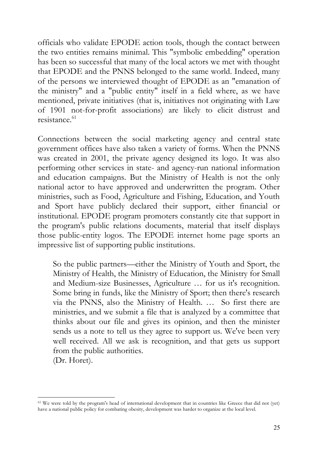officials who validate EPODE action tools, though the contact between the two entities remains minimal. This "symbolic embedding" operation has been so successful that many of the local actors we met with thought that EPODE and the PNNS belonged to the same world. Indeed, many of the persons we interviewed thought of EPODE as an "emanation of the ministry" and a "public entity" itself in a field where, as we have mentioned, private initiatives (that is, initiatives not originating with Law of 1901 not-for-profit associations) are likely to elicit distrust and resistance. $61$ 

Connections between the social marketing agency and central state government offices have also taken a variety of forms. When the PNNS was created in 2001, the private agency designed its logo. It was also performing other services in state- and agency-run national information and education campaigns. But the Ministry of Health is not the only national actor to have approved and underwritten the program. Other ministries, such as Food, Agriculture and Fishing, Education, and Youth and Sport have publicly declared their support, either financial or institutional. EPODE program promoters constantly cite that support in the program's public relations documents, material that itself displays those public-entity logos. The EPODE internet home page sports an impressive list of supporting public institutions.

So the public partners—either the Ministry of Youth and Sport, the Ministry of Health, the Ministry of Education, the Ministry for Small and Medium-size Businesses, Agriculture … for us it's recognition. Some bring in funds, like the Ministry of Sport; then there's research via the PNNS, also the Ministry of Health. … So first there are ministries, and we submit a file that is analyzed by a committee that thinks about our file and gives its opinion, and then the minister sends us a note to tell us they agree to support us. We've been very well received. All we ask is recognition, and that gets us support from the public authorities.

(Dr. Horet).

<sup>61</sup> We were told by the program's head of international development that in countries like Greece that did not (yet) have a national public policy for combating obesity, development was harder to organize at the local level.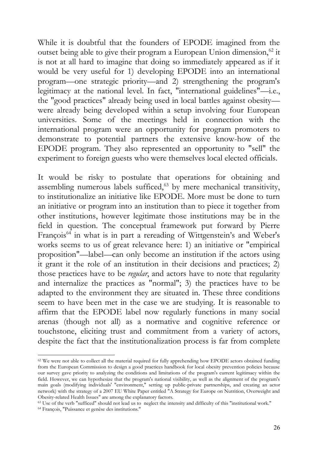While it is doubtful that the founders of EPODE imagined from the outset being able to give their program a European Union dimension,<sup>62</sup> it is not at all hard to imagine that doing so immediately appeared as if it would be very useful for 1) developing EPODE into an international program—one strategic priority—and 2) strengthening the program's legitimacy at the national level. In fact, "international guidelines"—i.e., the "good practices" already being used in local battles against obesity were already being developed within a setup involving four European universities. Some of the meetings held in connection with the international program were an opportunity for program promoters to demonstrate to potential partners the extensive know-how of the EPODE program. They also represented an opportunity to "sell" the experiment to foreign guests who were themselves local elected officials.

It would be risky to postulate that operations for obtaining and assembling numerous labels sufficed,<sup>63</sup> by mere mechanical transitivity, to institutionalize an initiative like EPODE. More must be done to turn an initiative or program into an institution than to piece it together from other institutions, however legitimate those institutions may be in the field in question. The conceptual framework put forward by Pierre François<sup>64</sup> in what is in part a rereading of Wittgenstein's and Weber's works seems to us of great relevance here: 1) an initiative or "empirical proposition"—label—can only become an institution if the actors using it grant it the role of an institution in their decisions and practices; 2) those practices have to be *regular*, and actors have to note that regularity and internalize the practices as "normal"; 3) the practices have to be adapted to the environment they are situated in. These three conditions seem to have been met in the case we are studying. It is reasonable to affirm that the EPODE label now regularly functions in many social arenas (though not all) as a normative and cognitive reference or touchstone, eliciting trust and commitment from a variety of actors, despite the fact that the institutionalization process is far from complete

<sup>&</sup>lt;sup>62</sup> We were not able to collect all the material required for fully apprehending how EPODE actors obtained funding from the European Commission to design a good practices handbook for local obesity prevention policies because our survey gave priority to analyzing the conditions and limitations of the program's current legitimacy within the field. However, we can hypothesize that the program's national visibility, as well as the alignment of the program's main goals (modifying individuals' "environment," setting up public-private partnerships, and creating an actor network) with the strategy of a 2007 EU White Paper entitled "A Strategy for Europe on Nutrition, Overweight and Obesity-related Health Issues" are among the explanatory factors.

<sup>63</sup> Use of the verb "sufficed" should not lead us to neglect the intensity and difficulty of this "institutional work."

<sup>64</sup> François, "Puissance et genèse des institutions."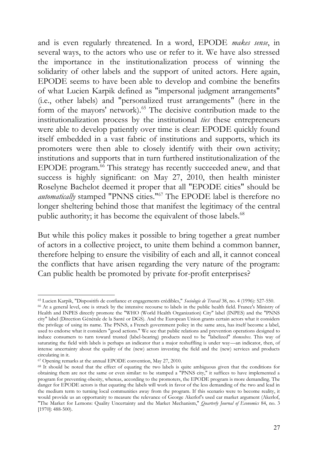and is even regularly threatened. In a word, EPODE *makes sense*, in several ways, to the actors who use or refer to it. We have also stressed the importance in the institutionalization process of winning the solidarity of other labels and the support of united actors. Here again, EPODE seems to have been able to develop and combine the benefits of what Lucien Karpik defined as "impersonal judgment arrangements" (i.e., other labels) and "personalized trust arrangements" (here in the form of the mayors' network).<sup>65</sup> The decisive contribution made to the institutionalization process by the institutional *ties* these entrepreneurs were able to develop patiently over time is clear: EPODE quickly found itself embedded in a vast fabric of institutions and supports, which its promoters were then able to closely identify with their own activity; institutions and supports that in turn furthered institutionalization of the EPODE program.<sup>66</sup> This strategy has recently succeeded anew, and that success is highly significant: on May 27, 2010, then health minister Roselyne Bachelot deemed it proper that all "EPODE cities" should be *automatically* stamped "PNNS cities."<sup>67</sup> The EPODE label is therefore no longer sheltering behind those that manifest the legitimacy of the central public authority; it has become the equivalent of those labels.<sup>68</sup>

But while this policy makes it possible to bring together a great number of actors in a collective project, to unite them behind a common banner, therefore helping to ensure the visibility of each and all, it cannot conceal the conflicts that have arisen regarding the very nature of the program: Can public health be promoted by private for-profit enterprises?

<sup>65</sup> Lucien Karpik, "Dispositifs de confiance et engagements crédibles," *Sociologie de Travail* 38, no. 4 (1996): 527-550.

<sup>66</sup> At a general level, one is struck by the intensive recourse to labels in the public health field. France's Ministry of Health and INPES directly promote the "WHO (World Health Organization) City" label (INPES) and the "PNNS city" label (Direction Générale de la Santé or DGS). And the European Union grants certain actors what it considers the privilege of using its name. The PNNS, a French government policy in the same area, has itself become a label, used to endorse what it considers "good actions." We see that public relations and prevention operations designed to induce consumers to turn toward trusted (label-bearing) products need to be "labelized" *themselves*. This way of saturating the field with labels is perhaps an indicator that a major reshuffling is under way—an indicator, then, of intense uncertainty about the quality of the (new) actors investing the field and the (new) services and products circulating in it.

<sup>67</sup> Opening remarks at the annual EPODE convention, May 27, 2010.

<sup>&</sup>lt;sup>68</sup> It should be noted that the effect of equating the two labels is quite ambiguous given that the conditions for obtaining them are not the same or even similar: to be stamped a "PNNS city," it suffices to have implemented a program for preventing obesity, whereas, according to the promoters, the EPODE program is more demanding. The danger for EPODE actors is that equating the labels will work in favor of the less demanding of the two and lead in the medium term to turning local communities away from the program. If this scenario were to become reality, it would provide us an opportunity to measure the relevance of George Akerlof's used car market argument (Akerlof, "The Market for Lemons: Quality Uncertainty and the Market Mechanism," *Quarterly Journal of Economics* 84, no. 3 [1970]: 488-500).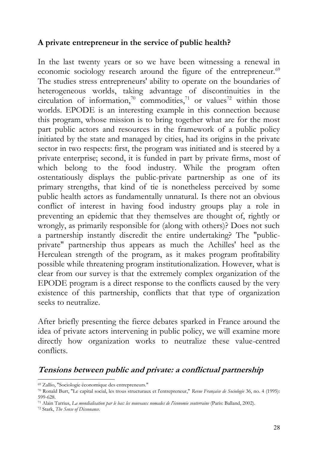#### **A private entrepreneur in the service of public health?**

In the last twenty years or so we have been witnessing a renewal in economic sociology research around the figure of the entrepreneur.<sup>69</sup> The studies stress entrepreneurs' ability to operate on the boundaries of heterogeneous worlds, taking advantage of discontinuities in the circulation of information,<sup>70</sup> commodities,<sup>71</sup> or values<sup>72</sup> within those worlds. EPODE is an interesting example in this connection because this program, whose mission is to bring together what are for the most part public actors and resources in the framework of a public policy initiated by the state and managed by cities, had its origins in the private sector in two respects: first, the program was initiated and is steered by a private enterprise; second, it is funded in part by private firms, most of which belong to the food industry. While the program often ostentatiously displays the public-private partnership as one of its primary strengths, that kind of tie is nonetheless perceived by some public health actors as fundamentally unnatural. Is there not an obvious conflict of interest in having food industry groups play a role in preventing an epidemic that they themselves are thought of, rightly or wrongly, as primarily responsible for (along with others)? Does not such a partnership instantly discredit the entire undertaking? The "publicprivate" partnership thus appears as much the Achilles' heel as the Herculean strength of the program, as it makes program profitability possible while threatening program institutionalization. However, what is clear from our survey is that the extremely complex organization of the EPODE program is a direct response to the conflicts caused by the very existence of this partnership, conflicts that that type of organization seeks to neutralize.

After briefly presenting the fierce debates sparked in France around the idea of private actors intervening in public policy, we will examine more directly how organization works to neutralize these value-centred conflicts.

### **Tensions between public and private: a conflictual partnership**

<sup>69</sup> Zallio, "Sociologie économique des entrepreneurs."

<sup>70</sup> Ronald Burt, "Le capital social, les trous structuraux et l'entrepreneur," *Revue Française de Sociologie* 36, no. 4 (1995): 599-628.

<sup>71</sup> Alain Tarrius, *La mondialisation par le bas: les nouveaux nomades de l'économie souterraine* (Paris: Balland, 2002).

<sup>72</sup> Stark, *The Sense of Dissonance*.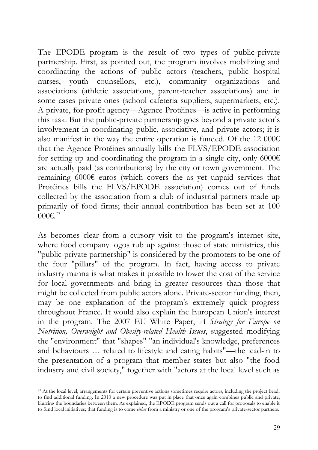The EPODE program is the result of two types of public-private partnership. First, as pointed out, the program involves mobilizing and coordinating the actions of public actors (teachers, public hospital nurses, youth counsellors, etc.), community organizations and associations (athletic associations, parent-teacher associations) and in some cases private ones (school cafeteria suppliers, supermarkets, etc.). A private, for-profit agency—Agence Protéines—is active in performing this task. But the public-private partnership goes beyond a private actor's involvement in coordinating public, associative, and private actors; it is also manifest in the way the entire operation is funded. Of the 12 000 $\epsilon$ that the Agence Protéines annually bills the FLVS/EPODE association for setting up and coordinating the program in a single city, only 6000 $\epsilon$ are actually paid (as contributions) by the city or town government. The remaining 6000€ euros (which covers the as yet unpaid services that Protéines bills the FLVS/EPODE association) comes out of funds collected by the association from a club of industrial partners made up primarily of food firms; their annual contribution has been set at 100 000 $\varepsilon$ <sup>73</sup>

As becomes clear from a cursory visit to the program's internet site, where food company logos rub up against those of state ministries, this "public-private partnership" is considered by the promoters to be one of the four "pillars" of the program. In fact, having access to private industry manna is what makes it possible to lower the cost of the service for local governments and bring in greater resources than those that might be collected from public actors alone. Private-sector funding, then, may be one explanation of the program's extremely quick progress throughout France. It would also explain the European Union's interest in the program. The 2007 EU White Paper, *A Strategy for Europe on Nutrition, Overweight and Obesity-related Health Issues*, suggested modifying the "environment" that "shapes" "an individual's knowledge, preferences and behaviours … related to lifestyle and eating habits"—the lead-in to the presentation of a program that member states but also "the food industry and civil society," together with "actors at the local level such as

<sup>&</sup>lt;sup>73</sup> At the local level, arrangements for certain preventive actions sometimes require actors, including the project head, to find additional funding. In 2010 a new procedure was put in place that once again combines public and private, blurring the boundaries between them. As explained, the EPODE program sends out a call for proposals to enable it to fund local initiatives; that funding is to come *either* from a ministry or one of the program's private-sector partners.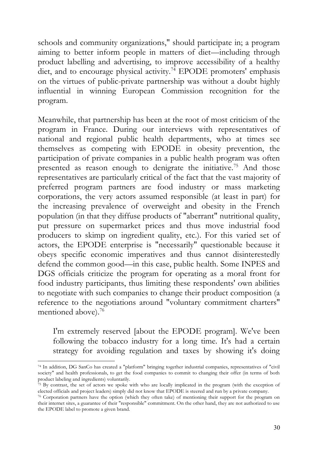schools and community organizations," should participate in; a program aiming to better inform people in matters of diet—including through product labelling and advertising, to improve accessibility of a healthy diet, and to encourage physical activity.<sup>74</sup> EPODE promoters' emphasis on the virtues of public-private partnership was without a doubt highly influential in winning European Commission recognition for the program.

Meanwhile, that partnership has been at the root of most criticism of the program in France. During our interviews with representatives of national and regional public health departments, who at times see themselves as competing with EPODE in obesity prevention, the participation of private companies in a public health program was often presented as reason enough to denigrate the initiative.<sup>75</sup> And those representatives are particularly critical of the fact that the vast majority of preferred program partners are food industry or mass marketing corporations, the very actors assumed responsible (at least in part) for the increasing prevalence of overweight and obesity in the French population (in that they diffuse products of "aberrant" nutritional quality, put pressure on supermarket prices and thus move industrial food producers to skimp on ingredient quality, etc.). For this varied set of actors, the EPODE enterprise is "necessarily" questionable because it obeys specific economic imperatives and thus cannot disinterestedly defend the common good—in this case, public health. Some INPES and DGS officials criticize the program for operating as a moral front for food industry participants, thus limiting these respondents' own abilities to negotiate with such companies to change their product composition (a reference to the negotiations around "voluntary commitment charters" mentioned above).<sup>76</sup>

I'm extremely reserved [about the EPODE program]. We've been following the tobacco industry for a long time. It's had a certain strategy for avoiding regulation and taxes by showing it's doing

<sup>74</sup> In addition, DG SanCo has created a "platform" bringing together industrial companies, representatives of "civil society" and health professionals, to get the food companies to commit to changing their offer (in terms of both product labeling and ingredients) voluntarily.

 $75$  By contrast, the set of actors we spoke with who are locally implicated in the program (with the exception of elected officials and project leaders) simply did not know that EPODE is steered and run by a private company.

<sup>76</sup> Corporation partners have the option (which they often take) of mentioning their support for the program on their internet sites, a guarantee of their "responsible" commitment. On the other hand, they are not authorized to use the EPODE label to promote a given brand.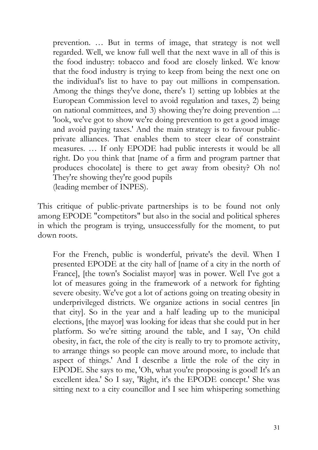prevention. … But in terms of image, that strategy is not well regarded. Well, we know full well that the next wave in all of this is the food industry: tobacco and food are closely linked. We know that the food industry is trying to keep from being the next one on the individual's list to have to pay out millions in compensation. Among the things they've done, there's 1) setting up lobbies at the European Commission level to avoid regulation and taxes, 2) being on national committees, and 3) showing they're doing prevention ...: 'look, we've got to show we're doing prevention to get a good image and avoid paying taxes.' And the main strategy is to favour publicprivate alliances. That enables them to steer clear of constraint measures. … If only EPODE had public interests it would be all right. Do you think that [name of a firm and program partner that produces chocolate] is there to get away from obesity? Oh no! They're showing they're good pupils (leading member of INPES).

This critique of public-private partnerships is to be found not only among EPODE "competitors" but also in the social and political spheres in which the program is trying, unsuccessfully for the moment, to put down roots.

For the French, public is wonderful, private's the devil. When I presented EPODE at the city hall of [name of a city in the north of France], [the town's Socialist mayor] was in power. Well I've got a lot of measures going in the framework of a network for fighting severe obesity. We've got a lot of actions going on treating obesity in underprivileged districts. We organize actions in social centres [in that city]. So in the year and a half leading up to the municipal elections, [the mayor] was looking for ideas that she could put in her platform. So we're sitting around the table, and I say, 'On child obesity, in fact, the role of the city is really to try to promote activity, to arrange things so people can move around more, to include that aspect of things.' And I describe a little the role of the city in EPODE. She says to me, 'Oh, what you're proposing is good! It's an excellent idea.' So I say, 'Right, it's the EPODE concept.' She was sitting next to a city councillor and I see him whispering something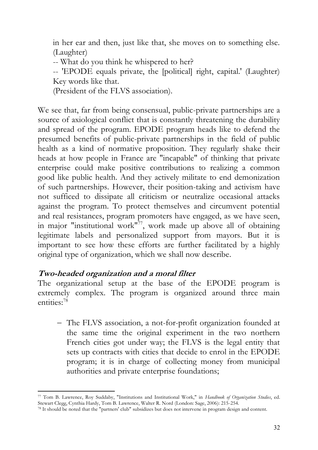in her ear and then, just like that, she moves on to something else. (Laughter)

-- What do you think he whispered to her?

-- 'EPODE equals private, the [political] right, capital.' (Laughter) Key words like that.

(President of the FLVS association).

We see that, far from being consensual, public-private partnerships are a source of axiological conflict that is constantly threatening the durability and spread of the program. EPODE program heads like to defend the presumed benefits of public-private partnerships in the field of public health as a kind of normative proposition. They regularly shake their heads at how people in France are "incapable" of thinking that private enterprise could make positive contributions to realizing a common good like public health. And they actively militate to end demonization of such partnerships. However, their position-taking and activism have not sufficed to dissipate all criticism or neutralize occasional attacks against the program. To protect themselves and circumvent potential and real resistances, program promoters have engaged, as we have seen, in major "institutional work" $^{77}$ , work made up above all of obtaining legitimate labels and personalized support from mayors. But it is important to see how these efforts are further facilitated by a highly original type of organization, which we shall now describe.

#### **Two-headed organization and a moral filter**

The organizational setup at the base of the EPODE program is extremely complex. The program is organized around three main entities:<sup>78</sup>

− The FLVS association, a not-for-profit organization founded at the same time the original experiment in the two northern French cities got under way; the FLVS is the legal entity that sets up contracts with cities that decide to enrol in the EPODE program; it is in charge of collecting money from municipal authorities and private enterprise foundations;

<sup>77</sup> Tom B. Lawrence, Roy Suddaby, "Institutions and Institutional Work," in *Handbook of Organization Studies*, ed. Stewart Clegg, Cynthia Hardy, Tom B. Lawrence, Walter R. Nord (London: Sage, 2006): 215-254.

<sup>78</sup> It should be noted that the "partners' club" subsidizes but does not intervene in program design and content.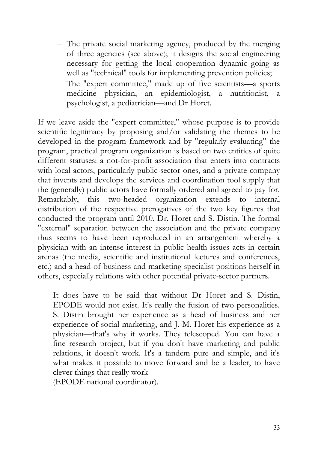- − The private social marketing agency, produced by the merging of three agencies (see above); it designs the social engineering necessary for getting the local cooperation dynamic going as well as "technical" tools for implementing prevention policies;
- − The "expert committee," made up of five scientists—a sports medicine physician, an epidemiologist, a nutritionist, a psychologist, a pediatrician—and Dr Horet.

If we leave aside the "expert committee," whose purpose is to provide scientific legitimacy by proposing and/or validating the themes to be developed in the program framework and by "regularly evaluating" the program, practical program organization is based on two entities of quite different statuses: a not-for-profit association that enters into contracts with local actors, particularly public-sector ones, and a private company that invents and develops the services and coordination tool supply that the (generally) public actors have formally ordered and agreed to pay for. Remarkably, this two-headed organization extends to internal distribution of the respective prerogatives of the two key figures that conducted the program until 2010, Dr. Horet and S. Distin. The formal "external" separation between the association and the private company thus seems to have been reproduced in an arrangement whereby a physician with an intense interest in public health issues acts in certain arenas (the media, scientific and institutional lectures and conferences, etc.) and a head-of-business and marketing specialist positions herself in others, especially relations with other potential private-sector partners.

It does have to be said that without Dr Horet and S. Distin, EPODE would not exist. It's really the fusion of two personalities. S. Distin brought her experience as a head of business and her experience of social marketing, and J.-M. Horet his experience as a physician—that's why it works. They telescoped. You can have a fine research project, but if you don't have marketing and public relations, it doesn't work. It's a tandem pure and simple, and it's what makes it possible to move forward and be a leader, to have clever things that really work

(EPODE national coordinator).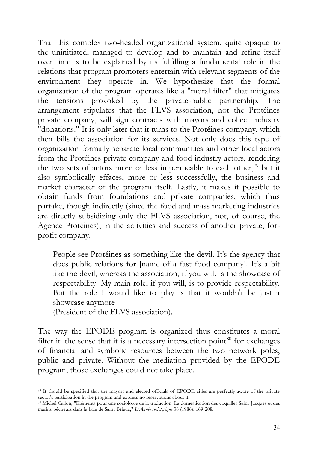That this complex two-headed organizational system, quite opaque to the uninitiated, managed to develop and to maintain and refine itself over time is to be explained by its fulfilling a fundamental role in the relations that program promoters entertain with relevant segments of the environment they operate in. We hypothesize that the formal organization of the program operates like a "moral filter" that mitigates the tensions provoked by the private-public partnership. The arrangement stipulates that the FLVS association, not the Protéines private company, will sign contracts with mayors and collect industry "donations." It is only later that it turns to the Protéines company, which then bills the association for its services. Not only does this type of organization formally separate local communities and other local actors from the Protéines private company and food industry actors, rendering the two sets of actors more or less impermeable to each other, $79$  but it also symbolically effaces, more or less successfully, the business and market character of the program itself. Lastly, it makes it possible to obtain funds from foundations and private companies, which thus partake, though indirectly (since the food and mass marketing industries are directly subsidizing only the FLVS association, not, of course, the Agence Protéines), in the activities and success of another private, forprofit company.

People see Protéines as something like the devil. It's the agency that does public relations for [name of a fast food company]. It's a bit like the devil, whereas the association, if you will, is the showcase of respectability. My main role, if you will, is to provide respectability. But the role I would like to play is that it wouldn't be just a showcase anymore

(President of the FLVS association).

The way the EPODE program is organized thus constitutes a moral filter in the sense that it is a necessary intersection point $80$  for exchanges of financial and symbolic resources between the two network poles, public and private. Without the mediation provided by the EPODE program, those exchanges could not take place.

<sup>79</sup> It should be specified that the mayors and elected officials of EPODE cities are perfectly aware of the private sector's participation in the program and express no reservations about it.

<sup>80</sup> Michel Callon, "Eléments pour une sociologie de la traduction: La domestication des coquilles Saint-Jacques et des marins-pêcheurs dans la baie de Saint-Brieuc," *L'Année sociologique* 36 (1986): 169-208.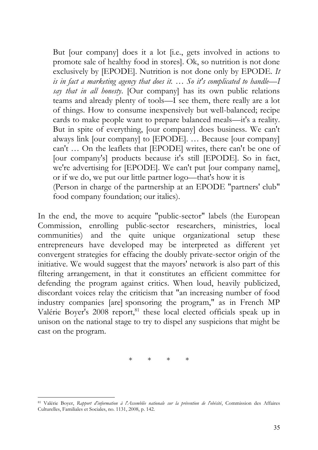But [our company] does it a lot [i.e., gets involved in actions to promote sale of healthy food in stores]. Ok, so nutrition is not done exclusively by [EPODE]. Nutrition is not done only by EPODE. *It is in fact a marketing agency that does it. … So it's complicated to handle—I say that in all honesty*. [Our company] has its own public relations teams and already plenty of tools—I see them, there really are a lot of things. How to consume inexpensively but well-balanced; recipe cards to make people want to prepare balanced meals—it's a reality. But in spite of everything, [our company] does business. We can't always link [our company] to [EPODE]. … Because [our company] can't … On the leaflets that [EPODE] writes, there can't be one of [our company's] products because it's still [EPODE]. So in fact, we're advertising for [EPODE]. We can't put [our company name], or if we do, we put our little partner logo—that's how it is (Person in charge of the partnership at an EPODE "partners' club" food company foundation; our italics).

In the end, the move to acquire "public-sector" labels (the European Commission, enrolling public-sector researchers, ministries, local communities) and the quite unique organizational setup these entrepreneurs have developed may be interpreted as different yet convergent strategies for effacing the doubly private-sector origin of the initiative. We would suggest that the mayors' network is also part of this filtering arrangement, in that it constitutes an efficient committee for defending the program against critics. When loud, heavily publicized, discordant voices relay the criticism that "an increasing number of food industry companies [are] sponsoring the program," as in French MP Valérie Boyer's 2008 report,<sup>81</sup> these local elected officials speak up in unison on the national stage to try to dispel any suspicions that might be cast on the program.

\* \* \* \*

<sup>81</sup> Valérie Boyer, *Rapport d'information à l'Assemblée nationale sur la prévention de l'obésité*, Commission des Affaires Culturelles, Familiales et Sociales, no. 1131, 2008, p. 142.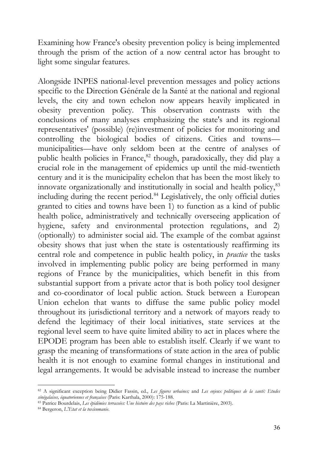Examining how France's obesity prevention policy is being implemented through the prism of the action of a now central actor has brought to light some singular features.

Alongside INPES national-level prevention messages and policy actions specific to the Direction Générale de la Santé at the national and regional levels, the city and town echelon now appears heavily implicated in obesity prevention policy. This observation contrasts with the conclusions of many analyses emphasizing the state's and its regional representatives' (possible) (re)investment of policies for monitoring and controlling the biological bodies of citizens. Cities and towns municipalities—have only seldom been at the centre of analyses of public health policies in France,<sup>82</sup> though, paradoxically, they did play a crucial role in the management of epidemics up until the mid-twentieth century and it is the municipality echelon that has been the most likely to innovate organizationally and institutionally in social and health policy,<sup>83</sup> including during the recent period.<sup>84</sup> Legislatively, the only official duties granted to cities and towns have been 1) to function as a kind of public health police, administratively and technically overseeing application of hygiene, safety and environmental protection regulations, and 2) (optionally) to administer social aid. The example of the combat against obesity shows that just when the state is ostentatiously reaffirming its central role and competence in public health policy, in *practice* the tasks involved in implementing public policy are being performed in many regions of France by the municipalities, which benefit in this from substantial support from a private actor that is both policy tool designer and co-coordinator of local public action. Stuck between a European Union echelon that wants to diffuse the same public policy model throughout its jurisdictional territory and a network of mayors ready to defend the legitimacy of their local initiatives, state services at the regional level seem to have quite limited ability to act in places where the EPODE program has been able to establish itself. Clearly if we want to grasp the meaning of transformations of state action in the area of public health it is not enough to examine formal changes in institutional and legal arrangements. It would be advisable instead to increase the number

<sup>82</sup> A significant exception being Didier Fassin, ed., *Les figures urbaines;* and *Les enjeux politiques de la santé: Etudes sénégalaises, équatoriennes et françaises* (Paris: Karthala, 2000): 175-188.

<sup>83</sup> Patrice Bourdelais, *Les épidémies terrassées: Une histoire des pays riches* (Paris: La Martinière, 2003).

<sup>84</sup> Bergeron, *L'Etat et la toxicomanie*.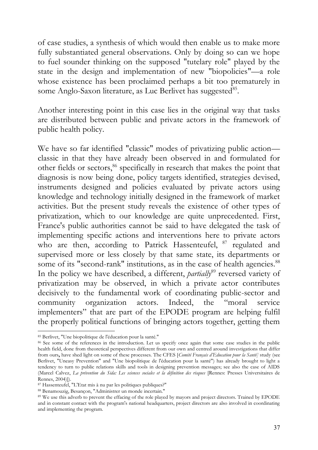of case studies, a synthesis of which would then enable us to make more fully substantiated general observations. Only by doing so can we hope to fuel sounder thinking on the supposed "tutelary role" played by the state in the design and implementation of new "biopolicies"—a role whose existence has been proclaimed perhaps a bit too prematurely in some Anglo-Saxon literature, as Luc Berlivet has suggested<sup>85</sup>.

Another interesting point in this case lies in the original way that tasks are distributed between public and private actors in the framework of public health policy.

We have so far identified "classic" modes of privatizing public action classic in that they have already been observed in and formulated for other fields or sectors,<sup>86</sup> specifically in research that makes the point that diagnosis is now being done, policy targets identified, strategies devised, instruments designed and policies evaluated by private actors using knowledge and technology initially designed in the framework of market activities. But the present study reveals the existence of other types of privatization, which to our knowledge are quite unprecedented. First, France's public authorities cannot be said to have delegated the task of implementing specific actions and interventions here to private actors who are then, according to Patrick Hassenteufel, <sup>87</sup> regulated and supervised more or less closely by that same state, its departments or some of its "second-rank" institutions, as in the case of health agencies.<sup>88</sup> In the policy we have described, a different, *partially*<sup>89</sup> reversed variety of privatization may be observed, in which a private actor contributes decisively to the fundamental work of coordinating public-sector and community organization actors. Indeed, the "moral service implementers" that are part of the EPODE program are helping fulfil the properly political functions of bringing actors together, getting them

<sup>85</sup> Berlivet, "Une biopolitique de l'éducation pour la santé."

<sup>86</sup> See some of the references in the introduction. Let us specify once again that some case studies in the public health field, done from theoretical perspectives different from our own and centred around investigations that differ from ours**,** have shed light on some of these processes. The CFES [*Comité Français d'Education pour la Santé]* study (see Berlivet, "Uneasy Prevention" and "Une biopolitique de l'éducation pour la santé") has already brought to light a tendency to turn to public relations skills and tools in designing prevention messages; see also the case of AIDS (Marcel Calvez, *La prévention du Sida: Les sciences sociales et la définition des risques* [Rennes: Presses Universitaires de Rennes, 2004)]).

<sup>87</sup> Hassenteufel, "L'Etat mis à nu par les politiques publiques?"

<sup>88</sup> Benamouzig, Besançon, "Administrer un monde incertain."

<sup>&</sup>lt;sup>89</sup> We use this adverb to prevent the effacing of the role played by mayors and project directors. Trained by EPODE and in constant contact with the program's national headquarters, project directors are also involved in coordinating and implementing the program.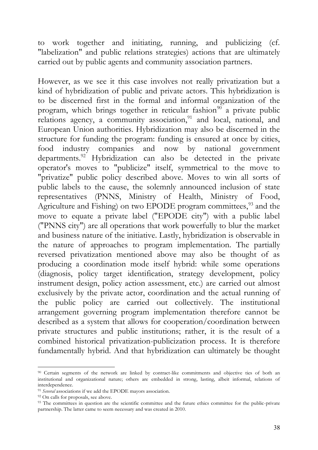to work together and initiating, running, and publicizing (cf. "labelization" and public relations strategies) actions that are ultimately carried out by public agents and community association partners.

However, as we see it this case involves not really privatization but a kind of hybridization of public and private actors. This hybridization is to be discerned first in the formal and informal organization of the program, which brings together in reticular fashion<sup>90</sup> a private public relations agency, a community association,<sup>91</sup> and local, national, and European Union authorities. Hybridization may also be discerned in the structure for funding the program: funding is ensured at once by cities, food industry companies and now by national government departments.<sup>92</sup> Hybridization can also be detected in the private operator's moves to "publicize" itself, symmetrical to the move to "privatize" public policy described above. Moves to win all sorts of public labels to the cause, the solemnly announced inclusion of state representatives (PNNS, Ministry of Health, Ministry of Food, Agriculture and Fishing) on two EPODE program committees,<sup>93</sup> and the move to equate a private label ("EPODE city") with a public label ("PNNS city") are all operations that work powerfully to blur the market and business nature of the initiative. Lastly, hybridization is observable in the nature of approaches to program implementation. The partially reversed privatization mentioned above may also be thought of as producing a coordination mode itself hybrid: while some operations (diagnosis, policy target identification, strategy development, policy instrument design, policy action assessment, etc.) are carried out almost exclusively by the private actor, coordination and the actual running of the public policy are carried out collectively. The institutional arrangement governing program implementation therefore cannot be described as a system that allows for cooperation/coordination between private structures and public institutions; rather, it is the result of a combined historical privatization-publicization process. It is therefore fundamentally hybrid. And that hybridization can ultimately be thought

<sup>90</sup> Certain segments of the network are linked by contract-like commitments and objective ties of both an institutional and organizational nature; others are embedded in strong, lasting, albeit informal, relations of interdependence.

<sup>91</sup> *Several* associations if we add the EPODE mayors association.

<sup>&</sup>lt;sup>92</sup> On calls for proposals, see above.

<sup>&</sup>lt;sup>93</sup> The committees in question are the scientific committee and the future ethics committee for the public-private partnership. The latter came to seem necessary and was created in 2010.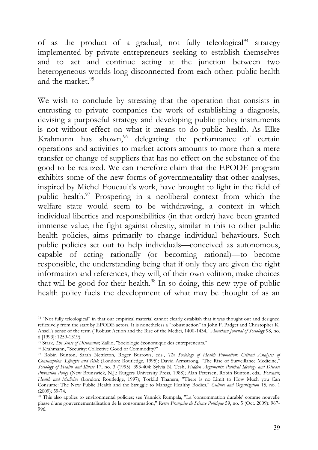of as the product of a gradual, not fully teleological<sup>94</sup> strategy implemented by private entrepreneurs seeking to establish themselves and to act and continue acting at the junction between two heterogeneous worlds long disconnected from each other: public health and the market.<sup>95</sup>

We wish to conclude by stressing that the operation that consists in entrusting to private companies the work of establishing a diagnosis, devising a purposeful strategy and developing public policy instruments is not without effect on what it means to do public health. As Elke Krahmann has shown,<sup>96</sup> delegating the performance of certain operations and activities to market actors amounts to more than a mere transfer or change of suppliers that has no effect on the substance of the good to be realized. We can therefore claim that the EPODE program exhibits some of the new forms of governmentality that other analyses, inspired by Michel Foucault's work, have brought to light in the field of public health.<sup>97</sup> Prospering in a neoliberal context from which the welfare state would seem to be withdrawing, a context in which individual liberties and responsibilities (in that order) have been granted immense value, the fight against obesity, similar in this to other public health policies, aims primarily to change individual behaviours. Such public policies set out to help individuals—conceived as autonomous, capable of acting rationally (or becoming rational)—to become responsible, the understanding being that if only they are given the right information and references, they will, of their own volition, make choices that will be good for their health.<sup>98</sup> In so doing, this new type of public health policy fuels the development of what may be thought of as an

<sup>94 &</sup>quot;Not fully teleological" in that our empirical material cannot clearly establish that it was thought out and designed reflexively from the start by EPODE actors. It is nonetheless a "robust action" in John F. Padget and Christopher K. Ansell's sense of the term ("Robust Action and the Rise of the Medici, 1400-1434," *American Journal of Sociology* 98, no. 6 [1993]: 1259-1319).

<sup>95</sup> Stark, *The Sense of Dissonance*; Zallio, "Sociologie économique des entrepreneurs."

<sup>96</sup> Krahmann, "Security: Collective Good or Commodity?"

<sup>97</sup> Robin Bunton, Sarah Nettleton, Roger Burrows, eds., *The Sociology of Health Promotion: Critical Analyses of Consumption, Lifestyle and Risk* (London: Routledge, 1995); David Armstrong, "The Rise of Surveillance Medicine," *Sociology of Health and Illness* 17, no. 3 (1995): 393-404; Sylvia N. Tesh, *Hidden Arguments: Political Ideology and Disease Prevention Policy* (New Brunswick, N.J.: Rutgers University Press, 1988); Alan Petersen, Robin Bunton, eds., *Foucault, Health and Medicine* (London: Routledge, 1997); Torkild Thanem, "There is no Limit to How Much you Can Consume: The New Public Health and the Struggle to Manage Healthy Bodies," *Culture and Organization* 15, no. 1 (2009): 59-74.

<sup>98</sup> This also applies to environmental policies; see Yannick Rumpala, "La 'consommation durable' comme nouvelle phase d'une gouvernementalisation de la consommation," *Revue Française de Science Politique* 59, no. 5 (Oct. 2009): 967- 996.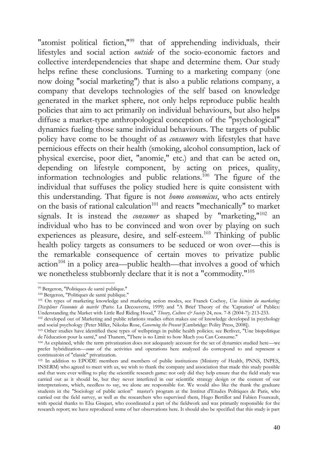"atomist political fiction,"<sup>99</sup> that of apprehending individuals, their lifestyles and social action *outside* of the socio-economic factors and collective interdependencies that shape and determine them. Our study helps refine these conclusions. Turning to a marketing company (one now doing "social marketing") that is also a public relations company, a company that develops technologies of the self based on knowledge generated in the market sphere, not only helps reproduce public health policies that aim to act primarily on individual behaviours, but also helps diffuse a market-type anthropological conception of the "psychological" dynamics fueling those same individual behaviours. The targets of public policy have come to be thought of as *consumers* with lifestyles that have pernicious effects on their health (smoking, alcohol consumption, lack of physical exercise, poor diet, "anomie," etc.) and that can be acted on, depending on lifestyle component, by acting on prices, quality, information technologies and public relations.<sup>100</sup> The figure of the individual that suffuses the policy studied here is quite consistent with this understanding. That figure is not *homo economicus*, who acts entirely on the basis of rational calculation<sup>101</sup> and reacts "mechanically" to market signals. It is instead the *consumer* as shaped by "marketing,"<sup>102</sup> an individual who has to be convinced and won over by playing on such experiences as pleasure, desire, and self-esteem.<sup>103</sup> Thinking of public health policy targets as consumers to be seduced or won over—this is the remarkable consequence of certain moves to privatize public  $action<sup>104</sup>$  in a policy area—public health—that involves a good of which we nonetheless stubbornly declare that it is not a "commodity."<sup>105</sup>

<sup>99</sup> Bergeron, "Politiques de santé publique."

<sup>100</sup> Bergeron, "Politiques de santé publique."

<sup>101</sup> On types of marketing knowledge and marketing action modes, see Franck Cochoy, *Une histoire du marketing: Discipliner l'économie de marché* (Paris: La Decouverte, 1999) and "A Brief Theory of the 'Captation' of Publics: Understanding the Market with Little Red Riding Hood," *Theory, Culture & Society* 24, nos. 7-8 (2004-7): 213-233.

<sup>&</sup>lt;sup>102</sup> developed out of Marketing and public relations studies often makes use of knowledge developed in psychology and social psychology (Peter Miller, Nikolas Rose, *Governing the Present* [Cambridge: Polity Press, 2008]).

<sup>&</sup>lt;sup>103</sup> Other studies have identified these types of wellsprings in public health policies; see Berlivet, "Une biopolitique de l'éducation pour la santé," and Thanem, "There is no Limit to how Much you Can Consume."

<sup>104</sup> As explained, while the term privatization does not adequately account for the set of dynamics studied here—we prefer hybridization—*some* of the activities and operations here analyzed do correspond to and represent a continuatoin of "classic" privatization.

<sup>105</sup> In addition to EPODE members and members of public institutions (Ministry of Health, PNNS, INPES, INSERM) who agreed to meet with us, we wish to thank the company and association that made this study possible and that were ever willing to play the scientific research game: not only did they help ensure that the field study was carried out as it should be, but they never interfered in our scientific strategy design or the content of our interpretations, which, needless to say, we alone are responsible for. We would also like the thank the graduate students in the "Sociology of public action" master's program at the Institut d'Etudes Politiques de Paris, who carried out the field survey, as well as the researchers who supervised them, Hugo Bertillot and Fabien Foureault, with special thanks to Elsa Gisquet, who coordinated a part of the fieldwork and was primarily responsible for the research report; we have reproduced some of her observations here. It should also be specified that this study is part